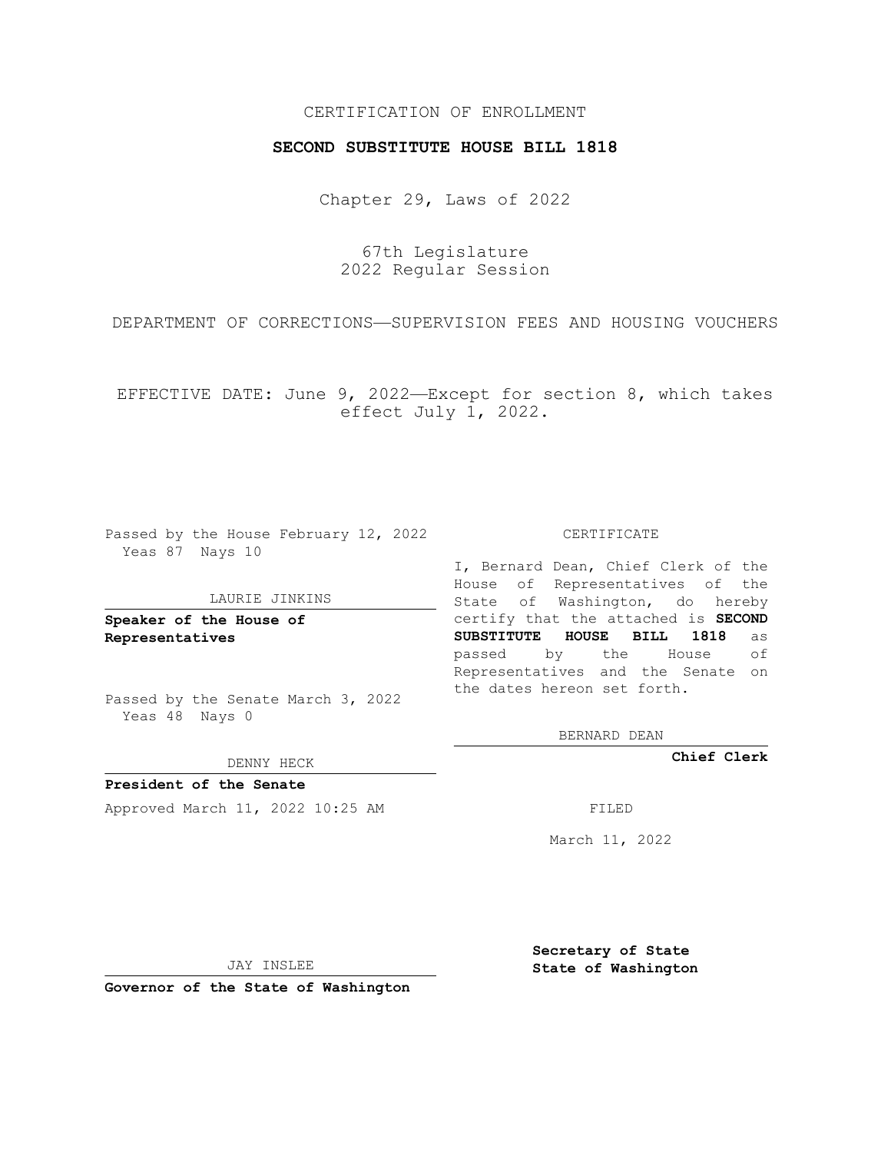## CERTIFICATION OF ENROLLMENT

## **SECOND SUBSTITUTE HOUSE BILL 1818**

Chapter 29, Laws of 2022

67th Legislature 2022 Regular Session

DEPARTMENT OF CORRECTIONS—SUPERVISION FEES AND HOUSING VOUCHERS

EFFECTIVE DATE: June 9, 2022—Except for section 8, which takes effect July 1, 2022.

Passed by the House February 12, 2022 Yeas 87 Nays 10

## LAURIE JINKINS

**Speaker of the House of Representatives**

Passed by the Senate March 3, 2022 Yeas 48 Nays 0

DENNY HECK

**President of the Senate** Approved March 11, 2022 10:25 AM FILED

CERTIFICATE

I, Bernard Dean, Chief Clerk of the House of Representatives of the State of Washington, do hereby certify that the attached is **SECOND SUBSTITUTE HOUSE BILL 1818** as passed by the House of Representatives and the Senate on the dates hereon set forth.

BERNARD DEAN

**Chief Clerk**

March 11, 2022

JAY INSLEE

**Governor of the State of Washington**

**Secretary of State State of Washington**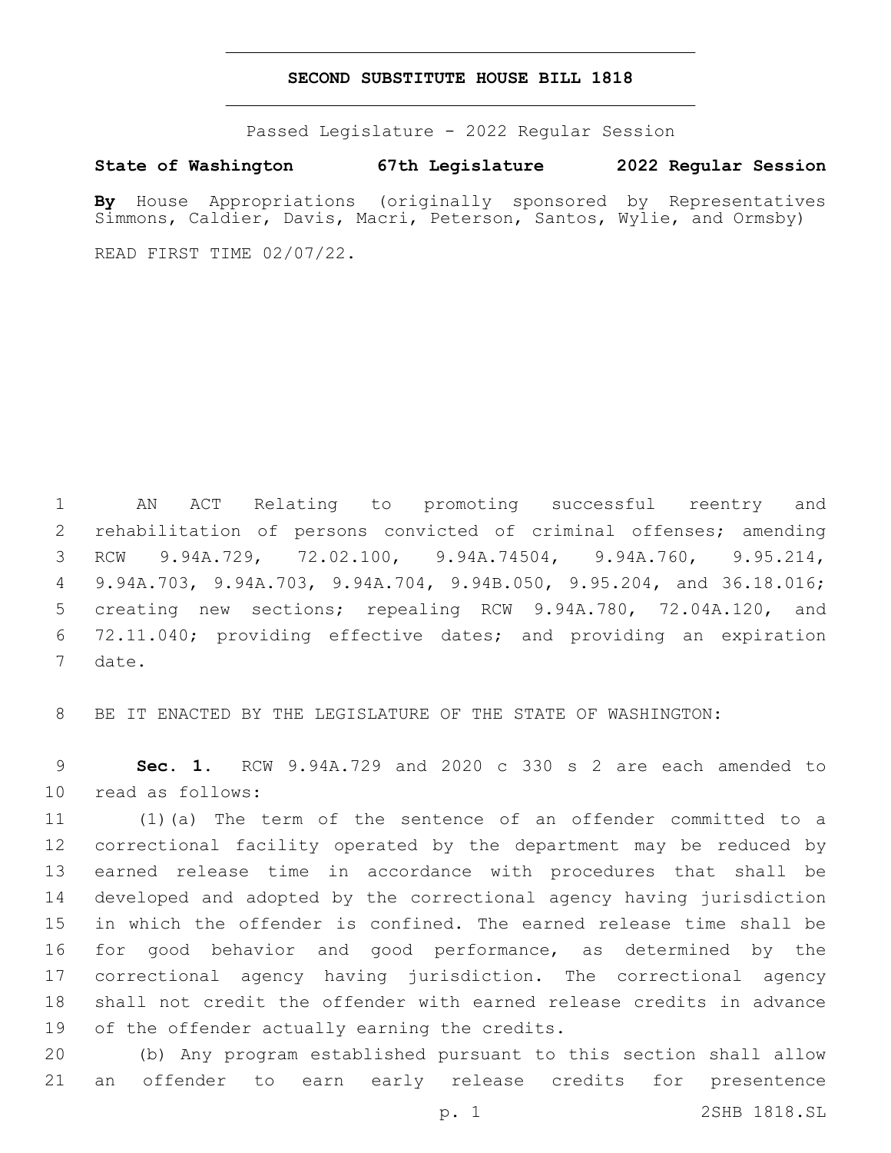## **SECOND SUBSTITUTE HOUSE BILL 1818**

Passed Legislature - 2022 Regular Session

**State of Washington 67th Legislature 2022 Regular Session**

**By** House Appropriations (originally sponsored by Representatives Simmons, Caldier, Davis, Macri, Peterson, Santos, Wylie, and Ormsby)

READ FIRST TIME 02/07/22.

 AN ACT Relating to promoting successful reentry and rehabilitation of persons convicted of criminal offenses; amending RCW 9.94A.729, 72.02.100, 9.94A.74504, 9.94A.760, 9.95.214, 9.94A.703, 9.94A.703, 9.94A.704, 9.94B.050, 9.95.204, and 36.18.016; creating new sections; repealing RCW 9.94A.780, 72.04A.120, and 72.11.040; providing effective dates; and providing an expiration 7 date.

BE IT ENACTED BY THE LEGISLATURE OF THE STATE OF WASHINGTON:

 **Sec. 1.** RCW 9.94A.729 and 2020 c 330 s 2 are each amended to 10 read as follows:

 (1)(a) The term of the sentence of an offender committed to a correctional facility operated by the department may be reduced by earned release time in accordance with procedures that shall be developed and adopted by the correctional agency having jurisdiction in which the offender is confined. The earned release time shall be for good behavior and good performance, as determined by the correctional agency having jurisdiction. The correctional agency shall not credit the offender with earned release credits in advance 19 of the offender actually earning the credits.

 (b) Any program established pursuant to this section shall allow an offender to earn early release credits for presentence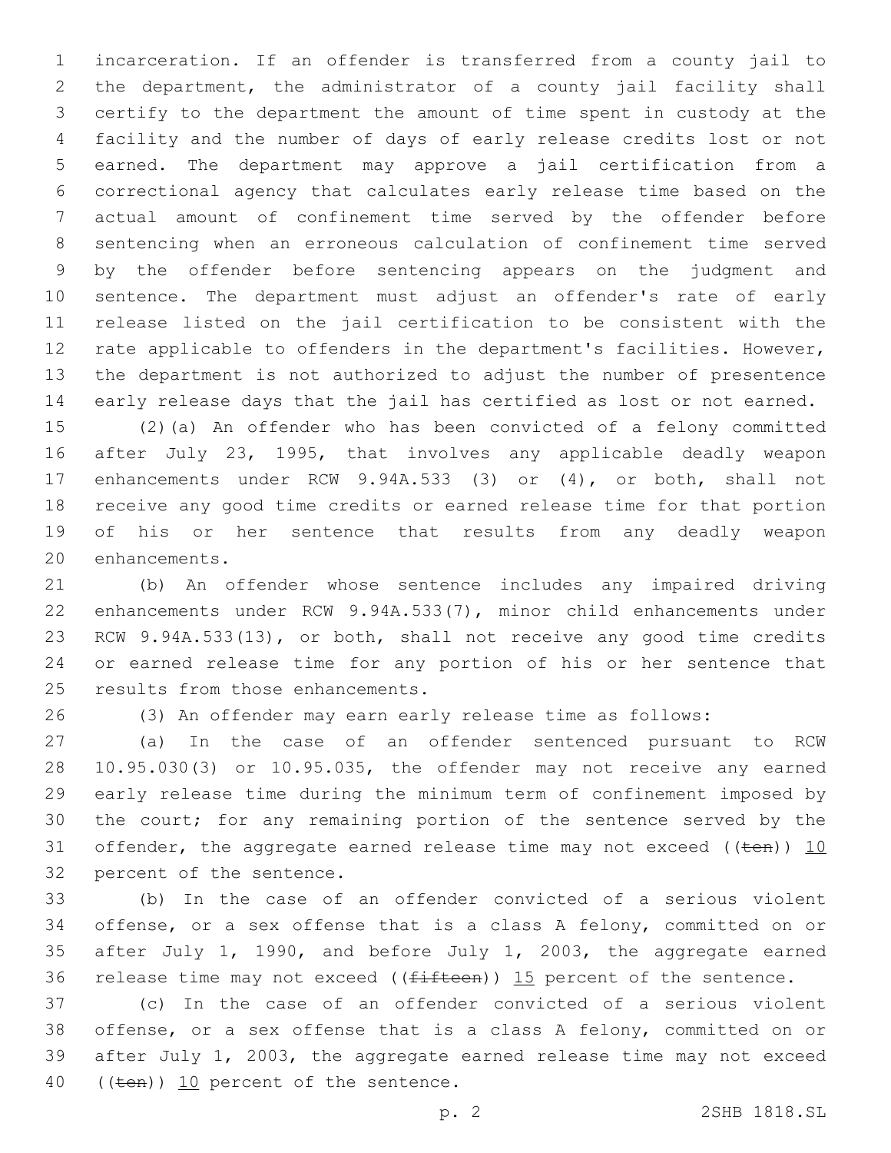incarceration. If an offender is transferred from a county jail to the department, the administrator of a county jail facility shall certify to the department the amount of time spent in custody at the facility and the number of days of early release credits lost or not earned. The department may approve a jail certification from a correctional agency that calculates early release time based on the actual amount of confinement time served by the offender before sentencing when an erroneous calculation of confinement time served by the offender before sentencing appears on the judgment and sentence. The department must adjust an offender's rate of early release listed on the jail certification to be consistent with the rate applicable to offenders in the department's facilities. However, the department is not authorized to adjust the number of presentence early release days that the jail has certified as lost or not earned.

 (2)(a) An offender who has been convicted of a felony committed after July 23, 1995, that involves any applicable deadly weapon enhancements under RCW 9.94A.533 (3) or (4), or both, shall not receive any good time credits or earned release time for that portion of his or her sentence that results from any deadly weapon 20 enhancements.

 (b) An offender whose sentence includes any impaired driving enhancements under RCW 9.94A.533(7), minor child enhancements under RCW 9.94A.533(13), or both, shall not receive any good time credits or earned release time for any portion of his or her sentence that 25 results from those enhancements.

(3) An offender may earn early release time as follows:

 (a) In the case of an offender sentenced pursuant to RCW 10.95.030(3) or 10.95.035, the offender may not receive any earned early release time during the minimum term of confinement imposed by the court; for any remaining portion of the sentence served by the 31 offender, the aggregate earned release time may not exceed ( $(\text{ten})$ ) 10 32 percent of the sentence.

 (b) In the case of an offender convicted of a serious violent offense, or a sex offense that is a class A felony, committed on or after July 1, 1990, and before July 1, 2003, the aggregate earned 36 release time may not exceed ( $(f\text{ifteen})$ ) 15 percent of the sentence.

 (c) In the case of an offender convicted of a serious violent offense, or a sex offense that is a class A felony, committed on or after July 1, 2003, the aggregate earned release time may not exceed 40 ((ten)) 10 percent of the sentence.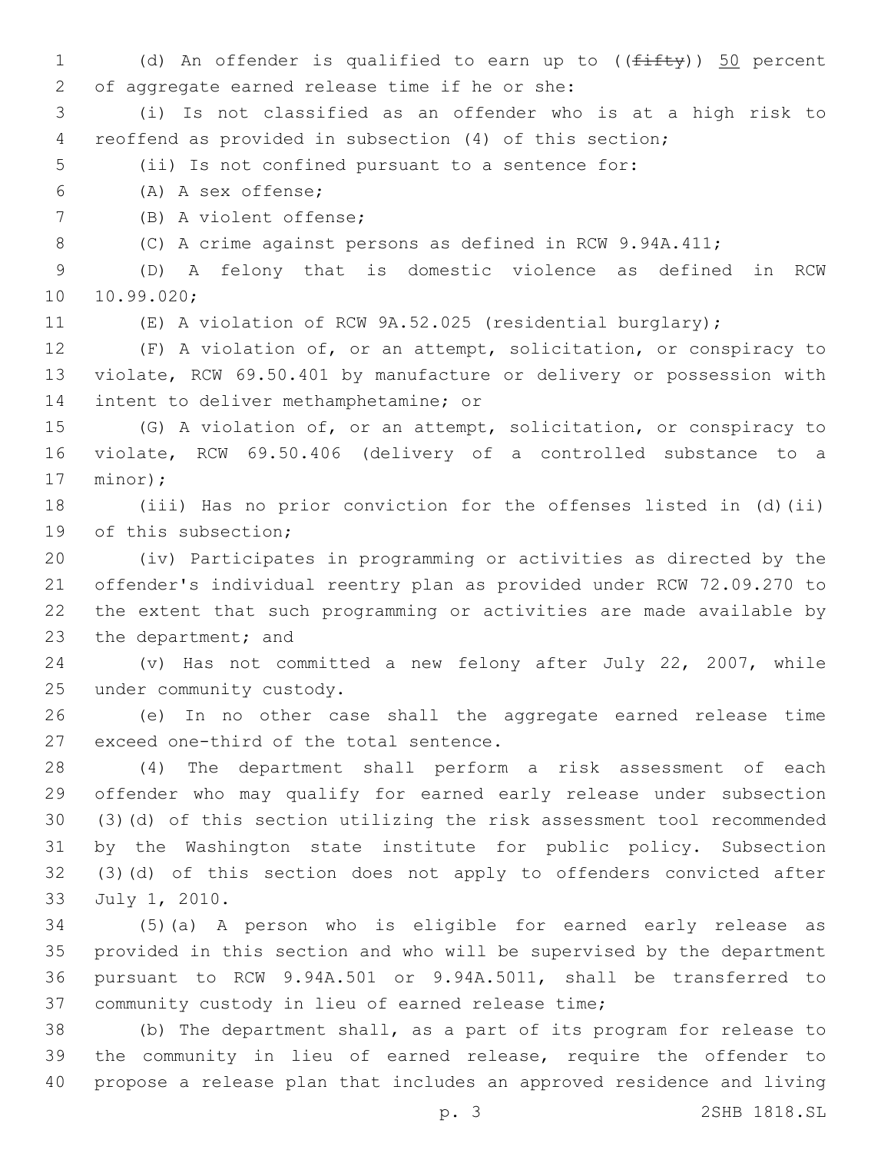1 (d) An offender is qualified to earn up to  $((f \text{iff } y))$  50 percent 2 of aggregate earned release time if he or she: (i) Is not classified as an offender who is at a high risk to reoffend as provided in subsection (4) of this section; (ii) Is not confined pursuant to a sentence for: (A) A sex offense;6 7 (B) A violent offense; (C) A crime against persons as defined in RCW 9.94A.411; (D) A felony that is domestic violence as defined in RCW 10.99.020; (E) A violation of RCW 9A.52.025 (residential burglary); (F) A violation of, or an attempt, solicitation, or conspiracy to violate, RCW 69.50.401 by manufacture or delivery or possession with 14 intent to deliver methamphetamine; or (G) A violation of, or an attempt, solicitation, or conspiracy to violate, RCW 69.50.406 (delivery of a controlled substance to a 17 minor); (iii) Has no prior conviction for the offenses listed in (d)(ii) 19 of this subsection; (iv) Participates in programming or activities as directed by the offender's individual reentry plan as provided under RCW 72.09.270 to the extent that such programming or activities are made available by 23 the department; and (v) Has not committed a new felony after July 22, 2007, while 25 under community custody. (e) In no other case shall the aggregate earned release time 27 exceed one-third of the total sentence. (4) The department shall perform a risk assessment of each offender who may qualify for earned early release under subsection (3)(d) of this section utilizing the risk assessment tool recommended by the Washington state institute for public policy. Subsection (3)(d) of this section does not apply to offenders convicted after 33 July 1, 2010. (5)(a) A person who is eligible for earned early release as provided in this section and who will be supervised by the department pursuant to RCW 9.94A.501 or 9.94A.5011, shall be transferred to 37 community custody in lieu of earned release time; (b) The department shall, as a part of its program for release to the community in lieu of earned release, require the offender to propose a release plan that includes an approved residence and living p. 3 2SHB 1818.SL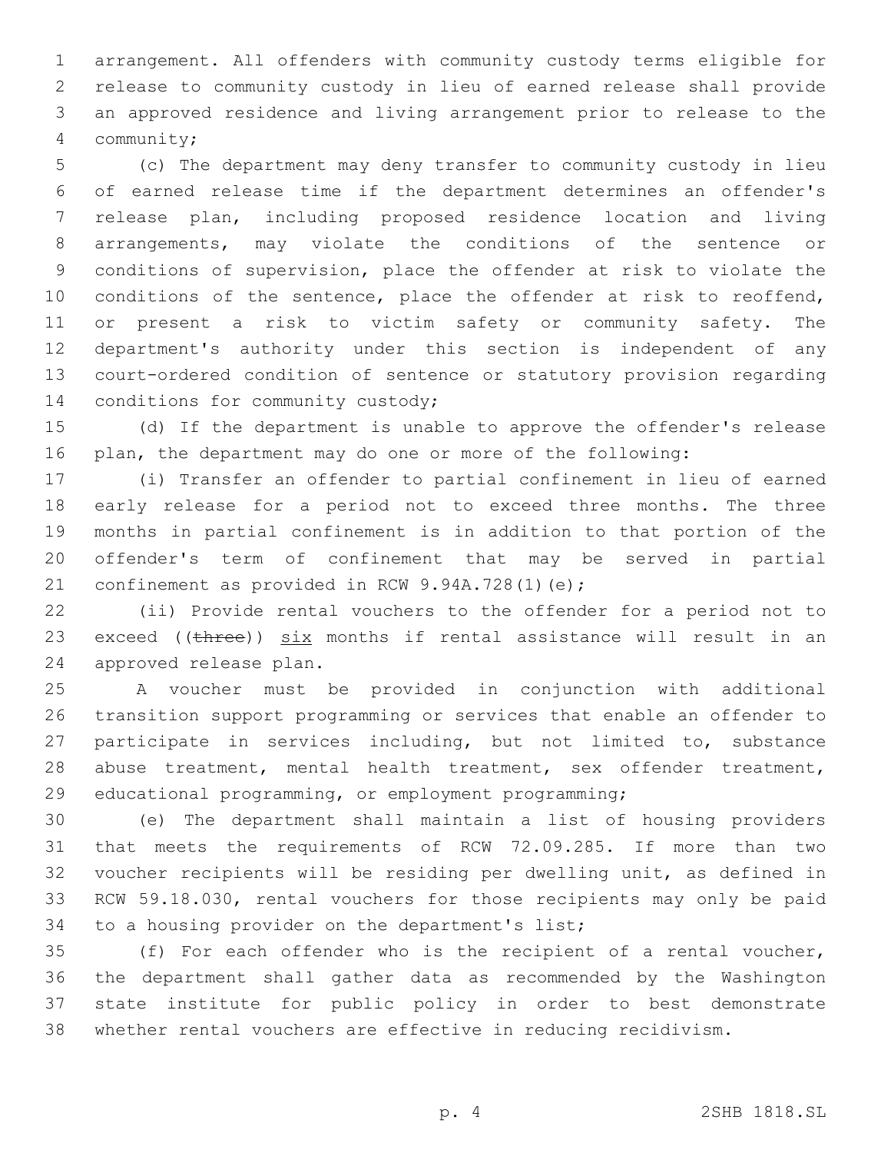arrangement. All offenders with community custody terms eligible for release to community custody in lieu of earned release shall provide an approved residence and living arrangement prior to release to the community;4

 (c) The department may deny transfer to community custody in lieu of earned release time if the department determines an offender's release plan, including proposed residence location and living arrangements, may violate the conditions of the sentence or conditions of supervision, place the offender at risk to violate the conditions of the sentence, place the offender at risk to reoffend, or present a risk to victim safety or community safety. The department's authority under this section is independent of any court-ordered condition of sentence or statutory provision regarding 14 conditions for community custody;

 (d) If the department is unable to approve the offender's release plan, the department may do one or more of the following:

 (i) Transfer an offender to partial confinement in lieu of earned early release for a period not to exceed three months. The three months in partial confinement is in addition to that portion of the offender's term of confinement that may be served in partial 21 confinement as provided in RCW  $9.94A.728(1)(e)$ ;

 (ii) Provide rental vouchers to the offender for a period not to 23 exceed (( $t$ hree))  $six$  months if rental assistance will result in an 24 approved release plan.

 A voucher must be provided in conjunction with additional transition support programming or services that enable an offender to participate in services including, but not limited to, substance abuse treatment, mental health treatment, sex offender treatment, educational programming, or employment programming;

 (e) The department shall maintain a list of housing providers that meets the requirements of RCW 72.09.285. If more than two voucher recipients will be residing per dwelling unit, as defined in RCW 59.18.030, rental vouchers for those recipients may only be paid 34 to a housing provider on the department's list;

 (f) For each offender who is the recipient of a rental voucher, the department shall gather data as recommended by the Washington state institute for public policy in order to best demonstrate whether rental vouchers are effective in reducing recidivism.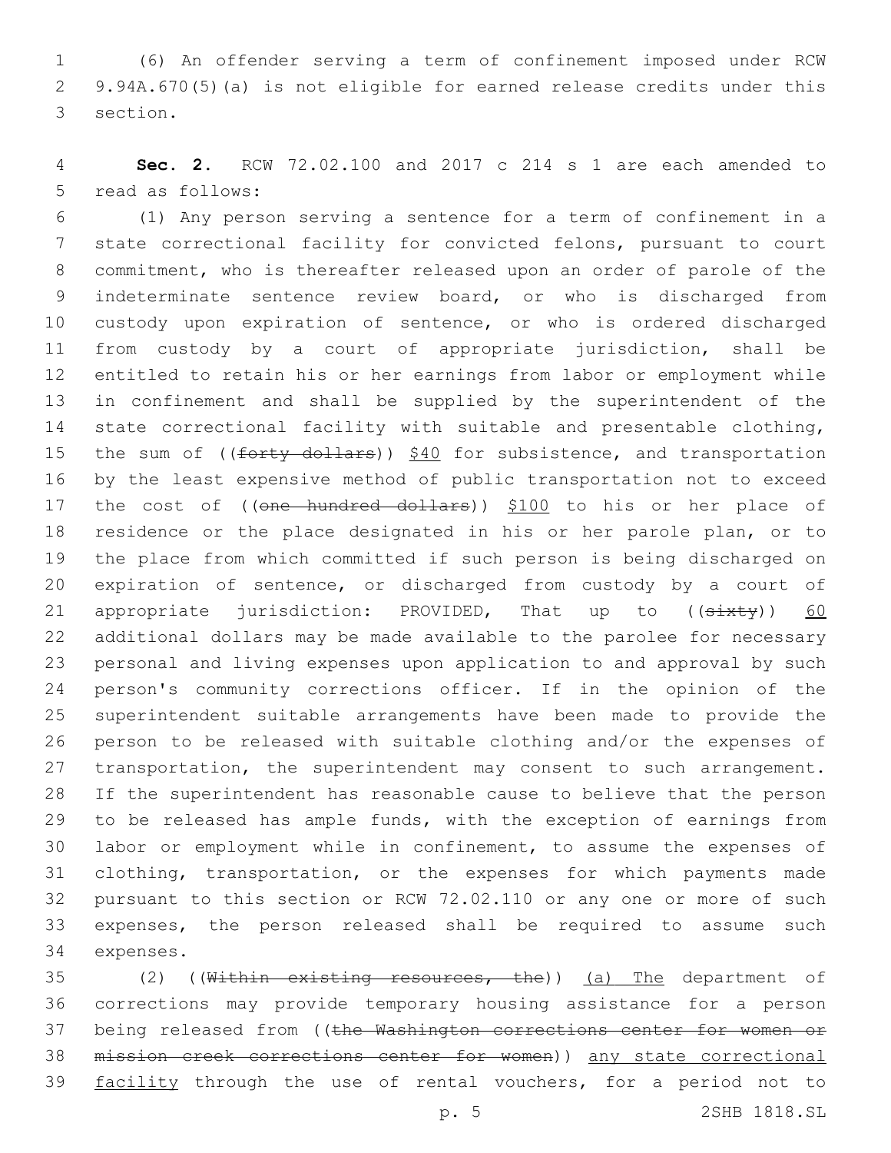(6) An offender serving a term of confinement imposed under RCW 9.94A.670(5)(a) is not eligible for earned release credits under this 3 section.

 **Sec. 2.** RCW 72.02.100 and 2017 c 214 s 1 are each amended to 5 read as follows:

 (1) Any person serving a sentence for a term of confinement in a state correctional facility for convicted felons, pursuant to court commitment, who is thereafter released upon an order of parole of the indeterminate sentence review board, or who is discharged from custody upon expiration of sentence, or who is ordered discharged from custody by a court of appropriate jurisdiction, shall be entitled to retain his or her earnings from labor or employment while in confinement and shall be supplied by the superintendent of the state correctional facility with suitable and presentable clothing, 15 the sum of ((forty dollars)) \$40 for subsistence, and transportation by the least expensive method of public transportation not to exceed 17 the cost of ((one hundred dollars)) \$100 to his or her place of residence or the place designated in his or her parole plan, or to the place from which committed if such person is being discharged on expiration of sentence, or discharged from custody by a court of 21 appropriate jurisdiction: PROVIDED, That up to  $((sixty))$  60 additional dollars may be made available to the parolee for necessary personal and living expenses upon application to and approval by such person's community corrections officer. If in the opinion of the superintendent suitable arrangements have been made to provide the person to be released with suitable clothing and/or the expenses of 27 transportation, the superintendent may consent to such arrangement. If the superintendent has reasonable cause to believe that the person to be released has ample funds, with the exception of earnings from labor or employment while in confinement, to assume the expenses of clothing, transportation, or the expenses for which payments made pursuant to this section or RCW 72.02.110 or any one or more of such expenses, the person released shall be required to assume such 34 expenses.

35 (2) ((Within existing resources, the)) (a) The department of corrections may provide temporary housing assistance for a person 37 being released from ((the Washington corrections center for women or mission creek corrections center for women)) any state correctional 39 facility through the use of rental vouchers, for a period not to

p. 5 2SHB 1818.SL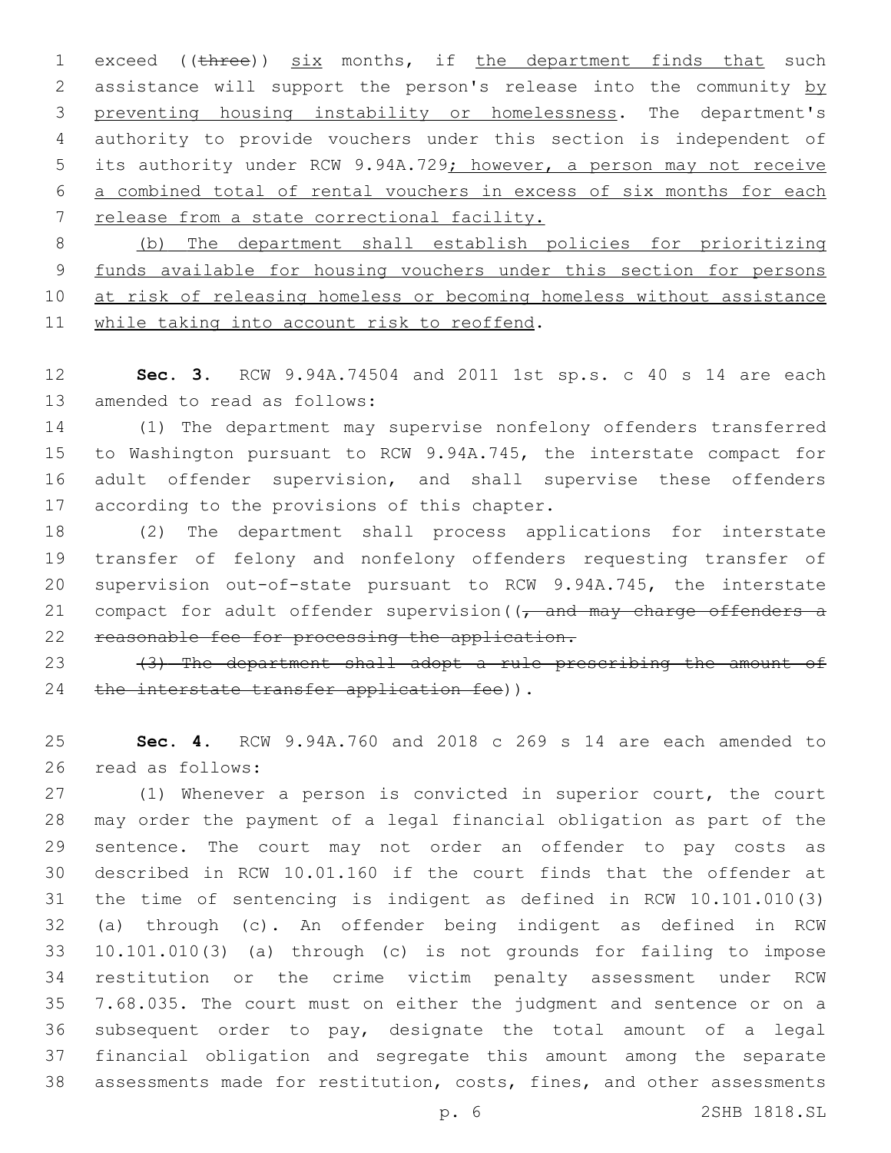1 exceed ((three)) six months, if the department finds that such 2 assistance will support the person's release into the community by preventing housing instability or homelessness. The department's authority to provide vouchers under this section is independent of 5 its authority under RCW 9.94A.729; however, a person may not receive a combined total of rental vouchers in excess of six months for each release from a state correctional facility.

 (b) The department shall establish policies for prioritizing funds available for housing vouchers under this section for persons 10 at risk of releasing homeless or becoming homeless without assistance 11 while taking into account risk to reoffend.

 **Sec. 3.** RCW 9.94A.74504 and 2011 1st sp.s. c 40 s 14 are each 13 amended to read as follows:

 (1) The department may supervise nonfelony offenders transferred to Washington pursuant to RCW 9.94A.745, the interstate compact for adult offender supervision, and shall supervise these offenders 17 according to the provisions of this chapter.

 (2) The department shall process applications for interstate transfer of felony and nonfelony offenders requesting transfer of supervision out-of-state pursuant to RCW 9.94A.745, the interstate 21 compact for adult offender supervision  $\left(\frac{1}{t}\right)$  and may charge offenders a reasonable fee for processing the application.

23  $(3)$  The department shall adopt a rule prescribing the amount of 24 the interstate transfer application fee)).

 **Sec. 4.** RCW 9.94A.760 and 2018 c 269 s 14 are each amended to 26 read as follows:

 (1) Whenever a person is convicted in superior court, the court may order the payment of a legal financial obligation as part of the sentence. The court may not order an offender to pay costs as described in RCW 10.01.160 if the court finds that the offender at the time of sentencing is indigent as defined in RCW 10.101.010(3) (a) through (c). An offender being indigent as defined in RCW 10.101.010(3) (a) through (c) is not grounds for failing to impose restitution or the crime victim penalty assessment under RCW 7.68.035. The court must on either the judgment and sentence or on a subsequent order to pay, designate the total amount of a legal financial obligation and segregate this amount among the separate assessments made for restitution, costs, fines, and other assessments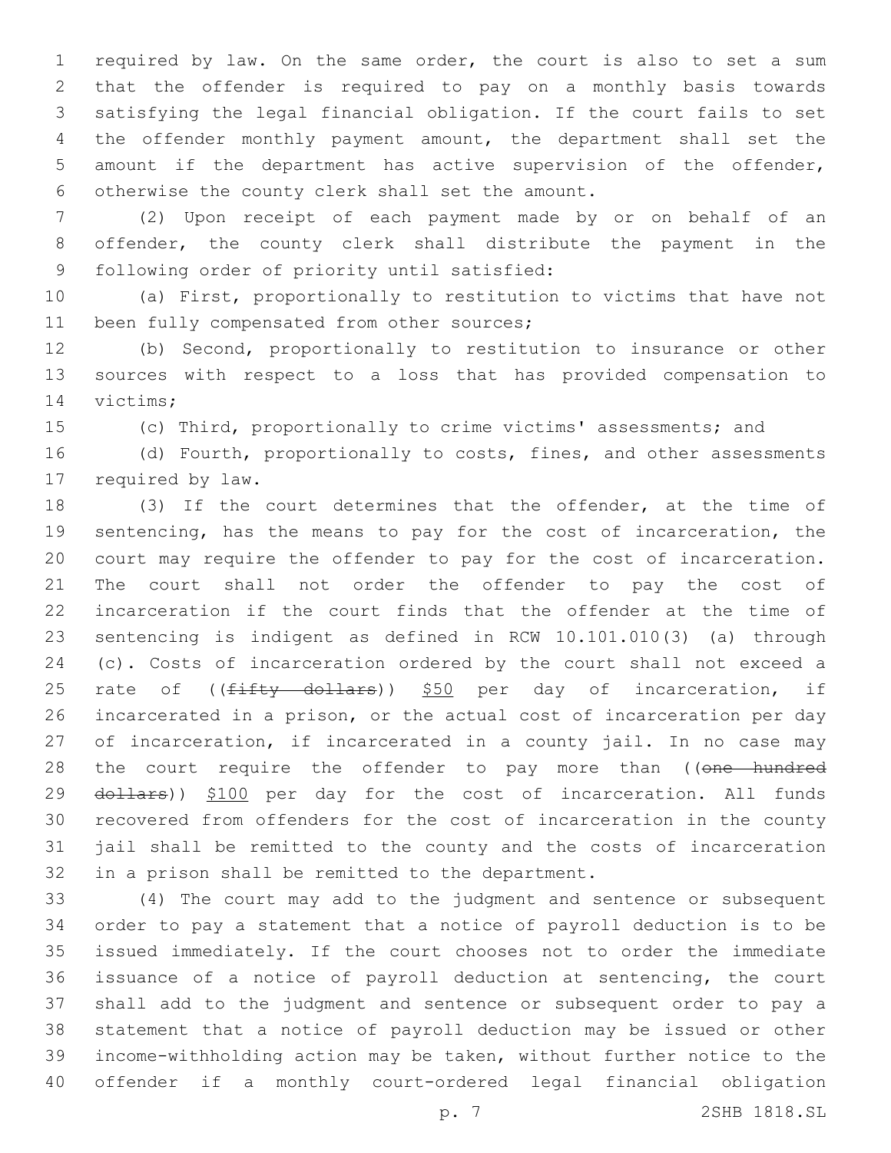required by law. On the same order, the court is also to set a sum that the offender is required to pay on a monthly basis towards satisfying the legal financial obligation. If the court fails to set the offender monthly payment amount, the department shall set the amount if the department has active supervision of the offender, 6 otherwise the county clerk shall set the amount.

 (2) Upon receipt of each payment made by or on behalf of an offender, the county clerk shall distribute the payment in the 9 following order of priority until satisfied:

 (a) First, proportionally to restitution to victims that have not 11 been fully compensated from other sources;

 (b) Second, proportionally to restitution to insurance or other sources with respect to a loss that has provided compensation to 14 victims;

(c) Third, proportionally to crime victims' assessments; and

16 (d) Fourth, proportionally to costs, fines, and other assessments 17 required by law.

 (3) If the court determines that the offender, at the time of sentencing, has the means to pay for the cost of incarceration, the court may require the offender to pay for the cost of incarceration. The court shall not order the offender to pay the cost of incarceration if the court finds that the offender at the time of sentencing is indigent as defined in RCW 10.101.010(3) (a) through (c). Costs of incarceration ordered by the court shall not exceed a 25 rate of ((fifty dollars)) \$50 per day of incarceration, if incarcerated in a prison, or the actual cost of incarceration per day 27 of incarceration, if incarcerated in a county jail. In no case may 28 the court require the offender to pay more than ((one hundred 29 dollars)) \$100 per day for the cost of incarceration. All funds recovered from offenders for the cost of incarceration in the county jail shall be remitted to the county and the costs of incarceration 32 in a prison shall be remitted to the department.

 (4) The court may add to the judgment and sentence or subsequent order to pay a statement that a notice of payroll deduction is to be issued immediately. If the court chooses not to order the immediate issuance of a notice of payroll deduction at sentencing, the court shall add to the judgment and sentence or subsequent order to pay a statement that a notice of payroll deduction may be issued or other income-withholding action may be taken, without further notice to the offender if a monthly court-ordered legal financial obligation

p. 7 2SHB 1818.SL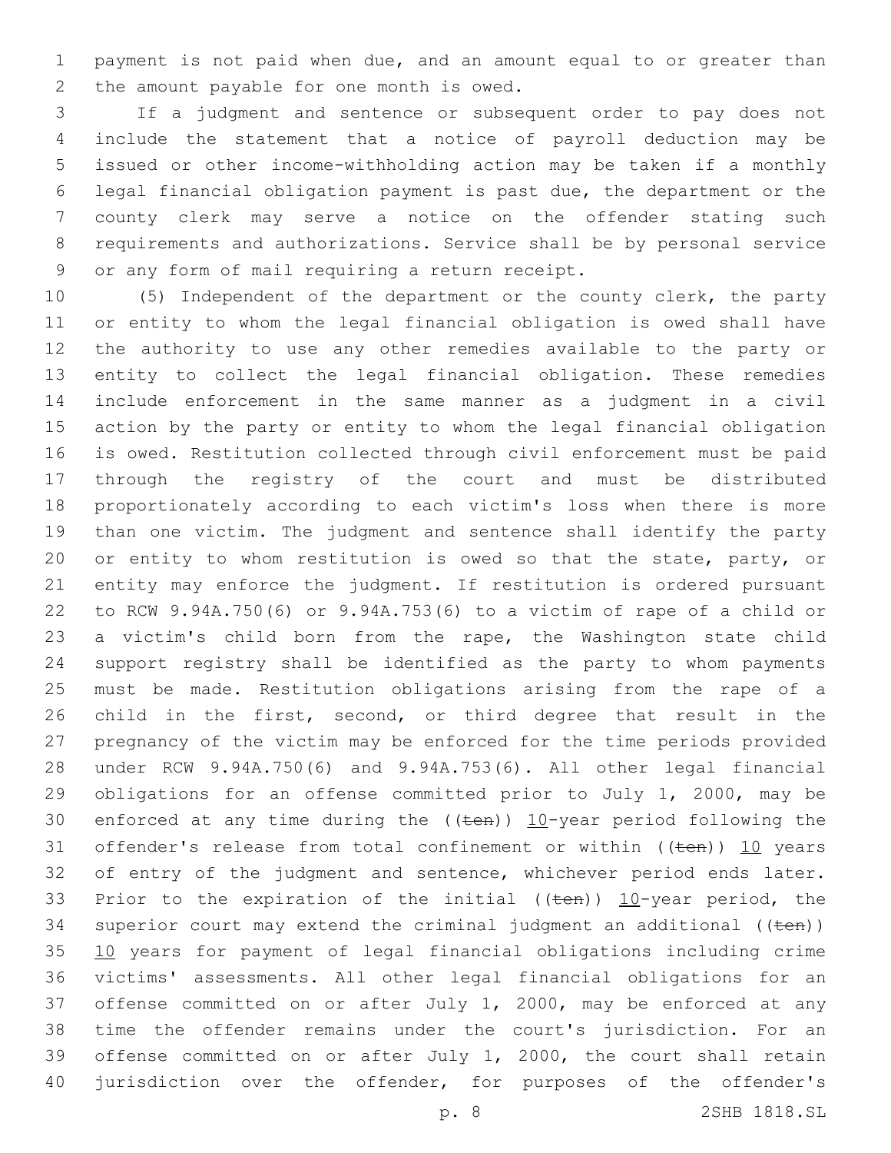payment is not paid when due, and an amount equal to or greater than 2 the amount payable for one month is owed.

 If a judgment and sentence or subsequent order to pay does not include the statement that a notice of payroll deduction may be issued or other income-withholding action may be taken if a monthly legal financial obligation payment is past due, the department or the county clerk may serve a notice on the offender stating such requirements and authorizations. Service shall be by personal service 9 or any form of mail requiring a return receipt.

 (5) Independent of the department or the county clerk, the party or entity to whom the legal financial obligation is owed shall have the authority to use any other remedies available to the party or entity to collect the legal financial obligation. These remedies include enforcement in the same manner as a judgment in a civil action by the party or entity to whom the legal financial obligation is owed. Restitution collected through civil enforcement must be paid through the registry of the court and must be distributed proportionately according to each victim's loss when there is more than one victim. The judgment and sentence shall identify the party 20 or entity to whom restitution is owed so that the state, party, or entity may enforce the judgment. If restitution is ordered pursuant to RCW 9.94A.750(6) or 9.94A.753(6) to a victim of rape of a child or a victim's child born from the rape, the Washington state child support registry shall be identified as the party to whom payments must be made. Restitution obligations arising from the rape of a child in the first, second, or third degree that result in the pregnancy of the victim may be enforced for the time periods provided under RCW 9.94A.750(6) and 9.94A.753(6). All other legal financial obligations for an offense committed prior to July 1, 2000, may be 30 enforced at any time during the  $((\text{ten}))$  10-year period following the 31 offender's release from total confinement or within  $((ten))$  10 years 32 of entry of the judgment and sentence, whichever period ends later. 33 Prior to the expiration of the initial (( $t$ en))  $10$ -year period, the 34 superior court may extend the criminal judgment an additional  $((\text{ten}))$  10 years for payment of legal financial obligations including crime victims' assessments. All other legal financial obligations for an offense committed on or after July 1, 2000, may be enforced at any time the offender remains under the court's jurisdiction. For an offense committed on or after July 1, 2000, the court shall retain 40 jurisdiction over the offender, for purposes of the offender's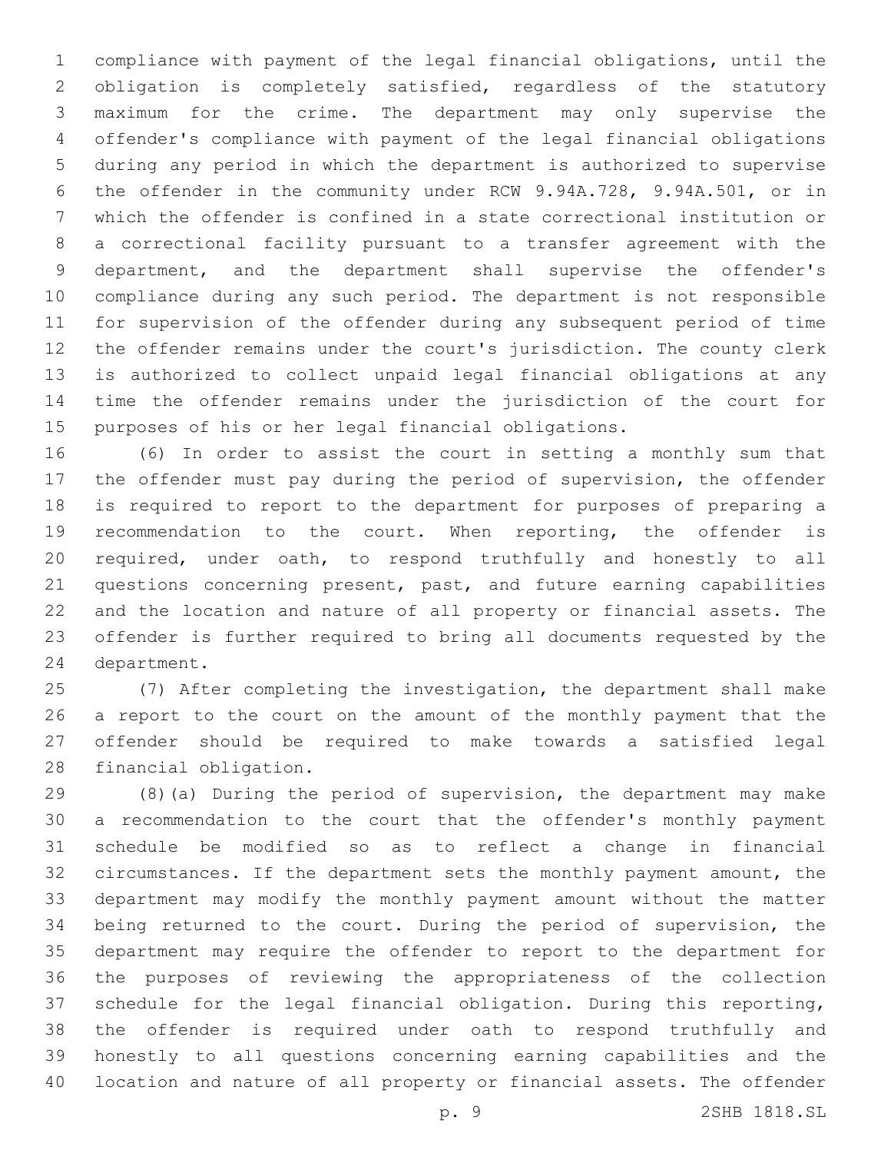compliance with payment of the legal financial obligations, until the obligation is completely satisfied, regardless of the statutory maximum for the crime. The department may only supervise the offender's compliance with payment of the legal financial obligations during any period in which the department is authorized to supervise the offender in the community under RCW 9.94A.728, 9.94A.501, or in which the offender is confined in a state correctional institution or a correctional facility pursuant to a transfer agreement with the department, and the department shall supervise the offender's compliance during any such period. The department is not responsible for supervision of the offender during any subsequent period of time the offender remains under the court's jurisdiction. The county clerk is authorized to collect unpaid legal financial obligations at any time the offender remains under the jurisdiction of the court for purposes of his or her legal financial obligations.

 (6) In order to assist the court in setting a monthly sum that the offender must pay during the period of supervision, the offender is required to report to the department for purposes of preparing a recommendation to the court. When reporting, the offender is required, under oath, to respond truthfully and honestly to all questions concerning present, past, and future earning capabilities and the location and nature of all property or financial assets. The offender is further required to bring all documents requested by the 24 department.

 (7) After completing the investigation, the department shall make a report to the court on the amount of the monthly payment that the offender should be required to make towards a satisfied legal 28 financial obligation.

 (8)(a) During the period of supervision, the department may make a recommendation to the court that the offender's monthly payment schedule be modified so as to reflect a change in financial circumstances. If the department sets the monthly payment amount, the department may modify the monthly payment amount without the matter being returned to the court. During the period of supervision, the department may require the offender to report to the department for the purposes of reviewing the appropriateness of the collection schedule for the legal financial obligation. During this reporting, the offender is required under oath to respond truthfully and honestly to all questions concerning earning capabilities and the location and nature of all property or financial assets. The offender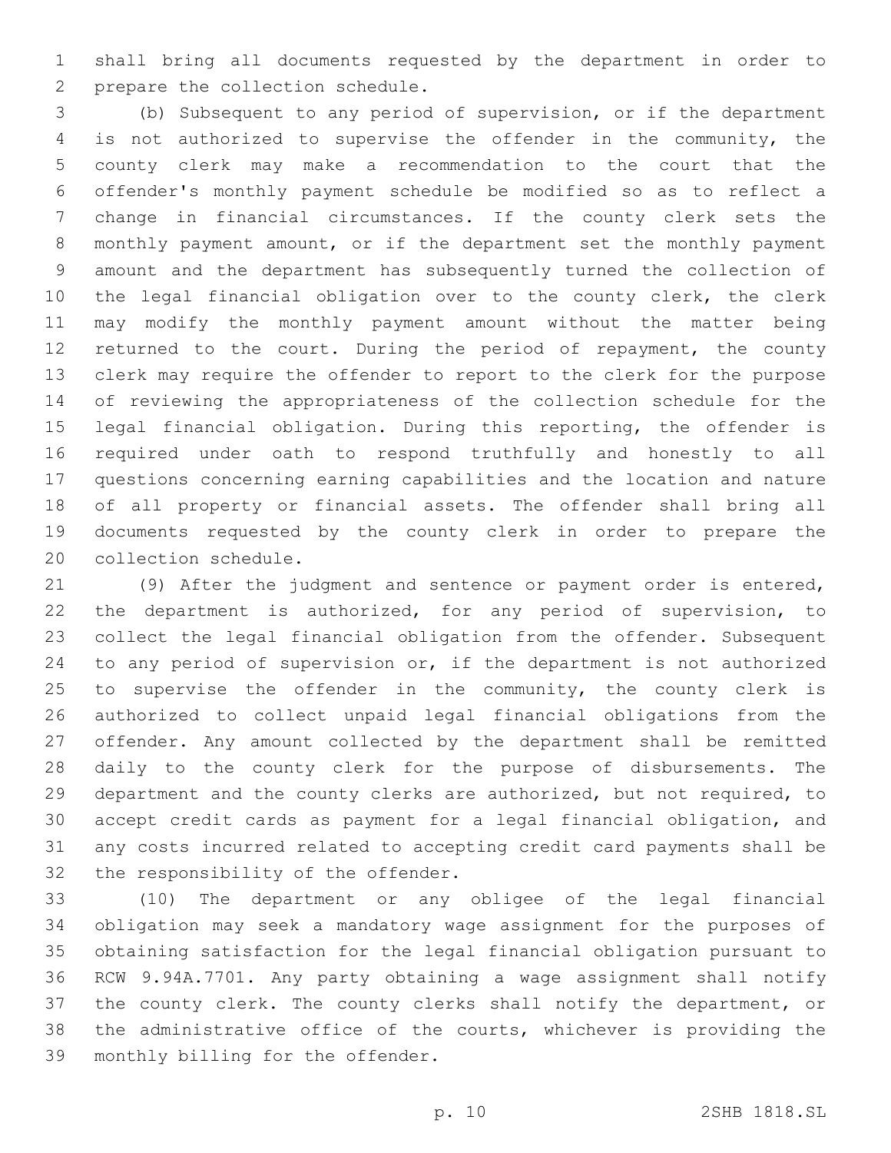shall bring all documents requested by the department in order to 2 prepare the collection schedule.

 (b) Subsequent to any period of supervision, or if the department is not authorized to supervise the offender in the community, the county clerk may make a recommendation to the court that the offender's monthly payment schedule be modified so as to reflect a change in financial circumstances. If the county clerk sets the monthly payment amount, or if the department set the monthly payment amount and the department has subsequently turned the collection of the legal financial obligation over to the county clerk, the clerk may modify the monthly payment amount without the matter being 12 returned to the court. During the period of repayment, the county clerk may require the offender to report to the clerk for the purpose of reviewing the appropriateness of the collection schedule for the legal financial obligation. During this reporting, the offender is required under oath to respond truthfully and honestly to all questions concerning earning capabilities and the location and nature of all property or financial assets. The offender shall bring all documents requested by the county clerk in order to prepare the 20 collection schedule.

 (9) After the judgment and sentence or payment order is entered, the department is authorized, for any period of supervision, to collect the legal financial obligation from the offender. Subsequent to any period of supervision or, if the department is not authorized 25 to supervise the offender in the community, the county clerk is authorized to collect unpaid legal financial obligations from the offender. Any amount collected by the department shall be remitted daily to the county clerk for the purpose of disbursements. The department and the county clerks are authorized, but not required, to accept credit cards as payment for a legal financial obligation, and any costs incurred related to accepting credit card payments shall be 32 the responsibility of the offender.

 (10) The department or any obligee of the legal financial obligation may seek a mandatory wage assignment for the purposes of obtaining satisfaction for the legal financial obligation pursuant to RCW 9.94A.7701. Any party obtaining a wage assignment shall notify the county clerk. The county clerks shall notify the department, or the administrative office of the courts, whichever is providing the 39 monthly billing for the offender.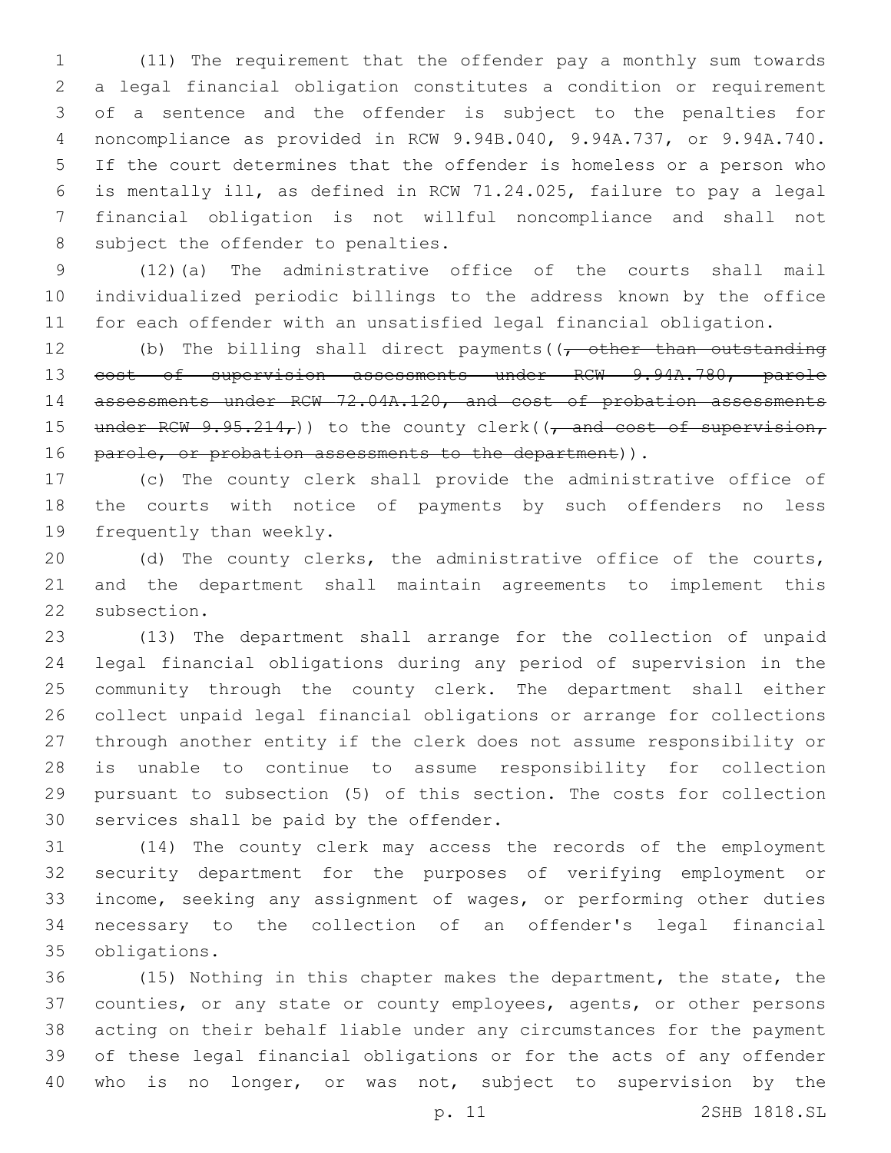(11) The requirement that the offender pay a monthly sum towards a legal financial obligation constitutes a condition or requirement of a sentence and the offender is subject to the penalties for noncompliance as provided in RCW 9.94B.040, 9.94A.737, or 9.94A.740. If the court determines that the offender is homeless or a person who is mentally ill, as defined in RCW 71.24.025, failure to pay a legal financial obligation is not willful noncompliance and shall not 8 subject the offender to penalties.

 (12)(a) The administrative office of the courts shall mail individualized periodic billings to the address known by the office for each offender with an unsatisfied legal financial obligation.

12 (b) The billing shall direct payments  $(1, -0)$  other than outstanding cost of supervision assessments under RCW 9.94A.780, parole 14 assessments under RCW 72.04A.120, and cost of probation assessments 15 under RCW  $9.95.214<sub>r</sub>$ )) to the county clerk(( $\frac{1}{r}$  and cost of supervision, 16 parole, or probation assessments to the department)).

 (c) The county clerk shall provide the administrative office of the courts with notice of payments by such offenders no less 19 frequently than weekly.

 (d) The county clerks, the administrative office of the courts, and the department shall maintain agreements to implement this 22 subsection.

 (13) The department shall arrange for the collection of unpaid legal financial obligations during any period of supervision in the community through the county clerk. The department shall either collect unpaid legal financial obligations or arrange for collections through another entity if the clerk does not assume responsibility or is unable to continue to assume responsibility for collection pursuant to subsection (5) of this section. The costs for collection 30 services shall be paid by the offender.

 (14) The county clerk may access the records of the employment security department for the purposes of verifying employment or income, seeking any assignment of wages, or performing other duties necessary to the collection of an offender's legal financial obligations.35

 (15) Nothing in this chapter makes the department, the state, the counties, or any state or county employees, agents, or other persons acting on their behalf liable under any circumstances for the payment of these legal financial obligations or for the acts of any offender who is no longer, or was not, subject to supervision by the

p. 11 2SHB 1818.SL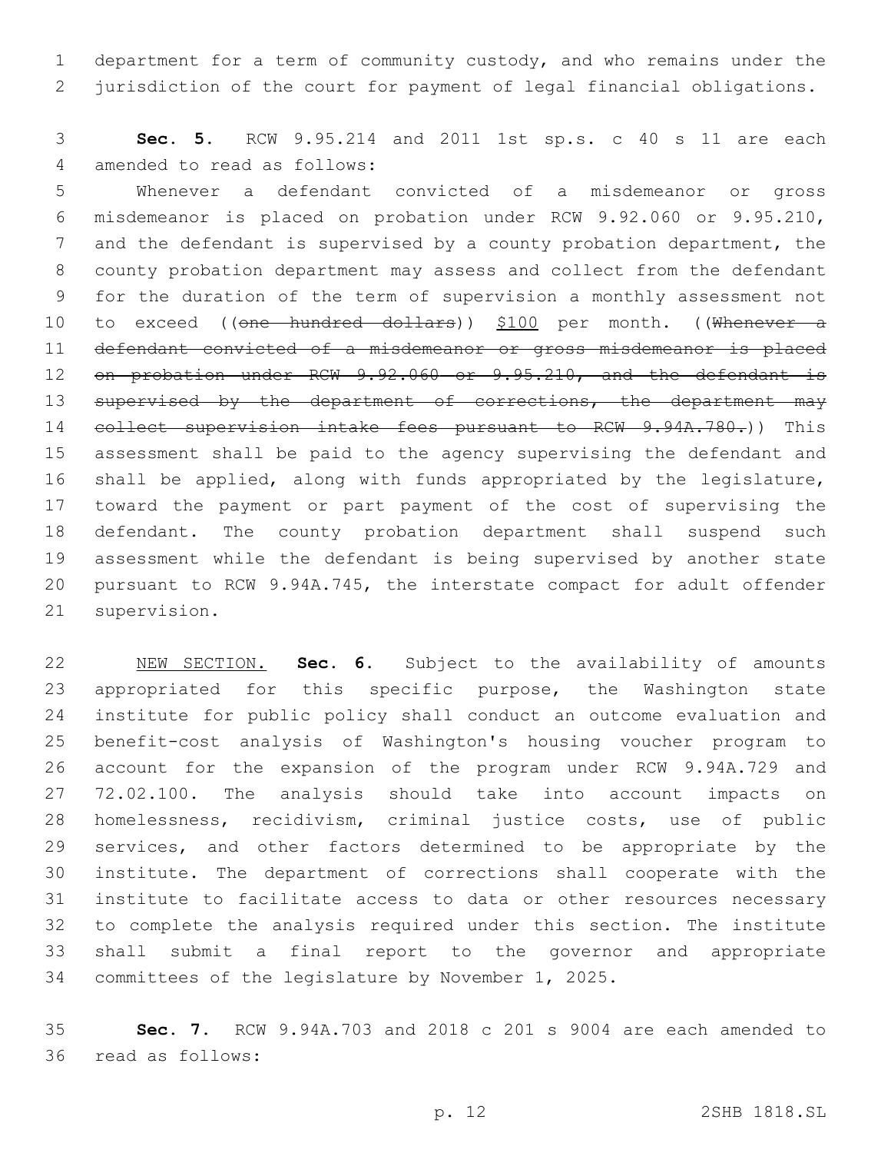department for a term of community custody, and who remains under the jurisdiction of the court for payment of legal financial obligations.

 **Sec. 5.** RCW 9.95.214 and 2011 1st sp.s. c 40 s 11 are each 4 amended to read as follows:

 Whenever a defendant convicted of a misdemeanor or gross misdemeanor is placed on probation under RCW 9.92.060 or 9.95.210, and the defendant is supervised by a county probation department, the county probation department may assess and collect from the defendant for the duration of the term of supervision a monthly assessment not 10 to exceed ((one hundred dollars)) \$100 per month. ((Whenever a defendant convicted of a misdemeanor or gross misdemeanor is placed 12 on probation under RCW 9.92.060 or 9.95.210, and the defendant is 13 supervised by the department of corrections, the department may 14 collect supervision intake fees pursuant to RCW 9.94A.780.)) This assessment shall be paid to the agency supervising the defendant and shall be applied, along with funds appropriated by the legislature, toward the payment or part payment of the cost of supervising the defendant. The county probation department shall suspend such assessment while the defendant is being supervised by another state pursuant to RCW 9.94A.745, the interstate compact for adult offender 21 supervision.

 NEW SECTION. **Sec. 6.** Subject to the availability of amounts appropriated for this specific purpose, the Washington state institute for public policy shall conduct an outcome evaluation and benefit-cost analysis of Washington's housing voucher program to account for the expansion of the program under RCW 9.94A.729 and 72.02.100. The analysis should take into account impacts on homelessness, recidivism, criminal justice costs, use of public services, and other factors determined to be appropriate by the institute. The department of corrections shall cooperate with the institute to facilitate access to data or other resources necessary to complete the analysis required under this section. The institute shall submit a final report to the governor and appropriate committees of the legislature by November 1, 2025.

 **Sec. 7.** RCW 9.94A.703 and 2018 c 201 s 9004 are each amended to 36 read as follows: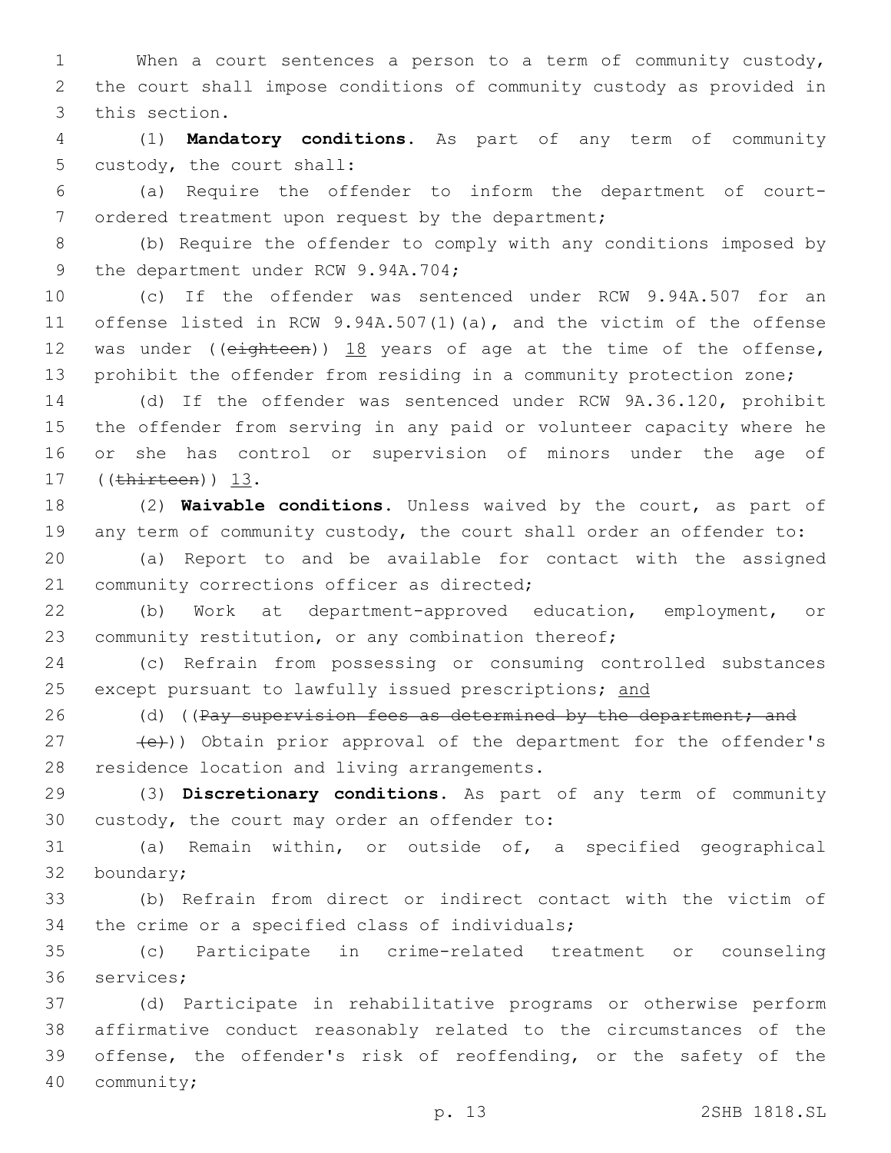1 When a court sentences a person to a term of community custody, 2 the court shall impose conditions of community custody as provided in 3 this section.

4 (1) **Mandatory conditions.** As part of any term of community 5 custody, the court shall:

6 (a) Require the offender to inform the department of court-7 ordered treatment upon request by the department;

8 (b) Require the offender to comply with any conditions imposed by 9 the department under RCW 9.94A.704;

 (c) If the offender was sentenced under RCW 9.94A.507 for an offense listed in RCW 9.94A.507(1)(a), and the victim of the offense 12 was under ((eighteen)) 18 years of age at the time of the offense, prohibit the offender from residing in a community protection zone;

 (d) If the offender was sentenced under RCW 9A.36.120, prohibit the offender from serving in any paid or volunteer capacity where he or she has control or supervision of minors under the age of 17 ((thirteen)) 13.

18 (2) **Waivable conditions.** Unless waived by the court, as part of 19 any term of community custody, the court shall order an offender to:

20 (a) Report to and be available for contact with the assigned 21 community corrections officer as directed;

22 (b) Work at department-approved education, employment, or 23 community restitution, or any combination thereof;

24 (c) Refrain from possessing or consuming controlled substances 25 except pursuant to lawfully issued prescriptions; and

26 (d) ((Pay supervision fees as determined by the department; and

27 (e))) Obtain prior approval of the department for the offender's 28 residence location and living arrangements.

29 (3) **Discretionary conditions.** As part of any term of community 30 custody, the court may order an offender to:

31 (a) Remain within, or outside of, a specified geographical 32 boundary;

33 (b) Refrain from direct or indirect contact with the victim of 34 the crime or a specified class of individuals;

35 (c) Participate in crime-related treatment or counseling 36 services;

 (d) Participate in rehabilitative programs or otherwise perform affirmative conduct reasonably related to the circumstances of the offense, the offender's risk of reoffending, or the safety of the 40 community;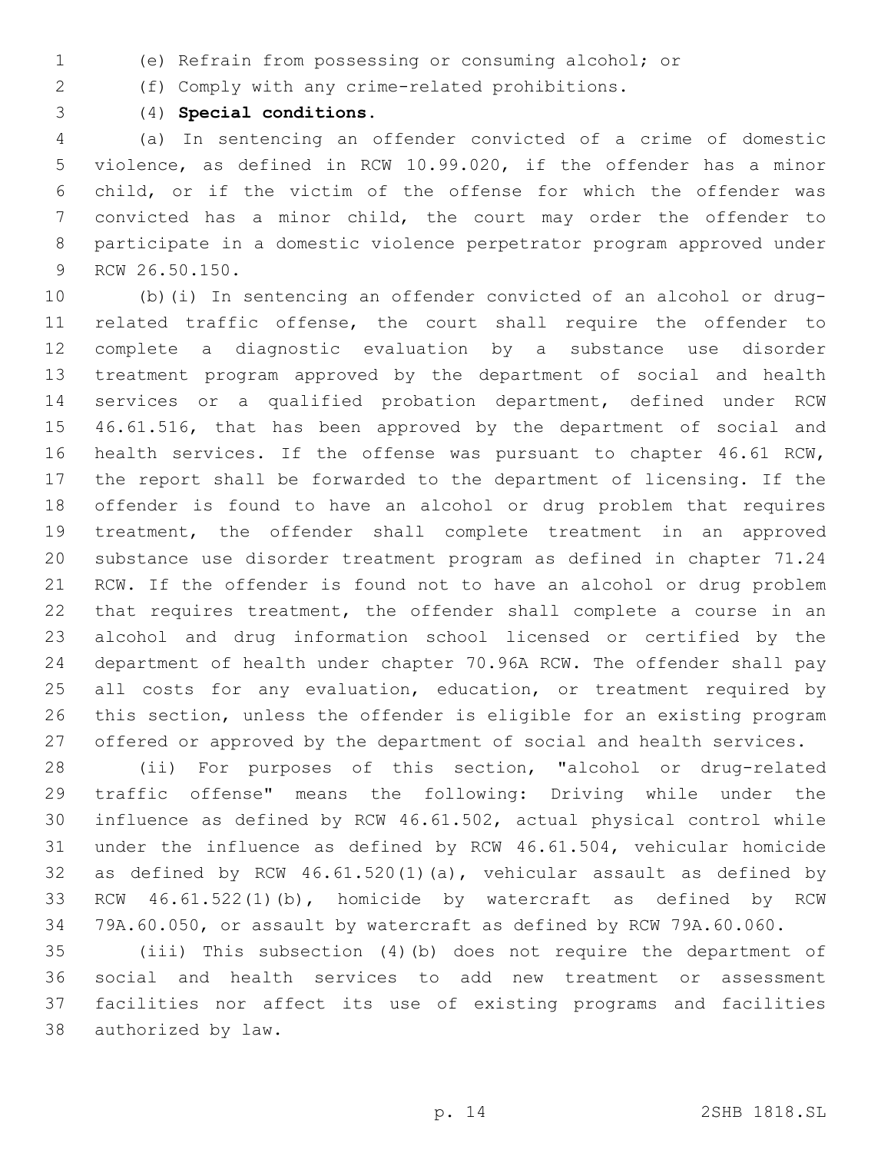- (e) Refrain from possessing or consuming alcohol; or
- (f) Comply with any crime-related prohibitions.
- 

(4) **Special conditions.**

 (a) In sentencing an offender convicted of a crime of domestic violence, as defined in RCW 10.99.020, if the offender has a minor child, or if the victim of the offense for which the offender was convicted has a minor child, the court may order the offender to participate in a domestic violence perpetrator program approved under 9 RCW 26.50.150.

 (b)(i) In sentencing an offender convicted of an alcohol or drug- related traffic offense, the court shall require the offender to complete a diagnostic evaluation by a substance use disorder treatment program approved by the department of social and health services or a qualified probation department, defined under RCW 46.61.516, that has been approved by the department of social and health services. If the offense was pursuant to chapter 46.61 RCW, the report shall be forwarded to the department of licensing. If the offender is found to have an alcohol or drug problem that requires treatment, the offender shall complete treatment in an approved substance use disorder treatment program as defined in chapter 71.24 RCW. If the offender is found not to have an alcohol or drug problem that requires treatment, the offender shall complete a course in an alcohol and drug information school licensed or certified by the department of health under chapter 70.96A RCW. The offender shall pay 25 all costs for any evaluation, education, or treatment required by this section, unless the offender is eligible for an existing program offered or approved by the department of social and health services.

 (ii) For purposes of this section, "alcohol or drug-related traffic offense" means the following: Driving while under the influence as defined by RCW 46.61.502, actual physical control while under the influence as defined by RCW 46.61.504, vehicular homicide as defined by RCW 46.61.520(1)(a), vehicular assault as defined by RCW 46.61.522(1)(b), homicide by watercraft as defined by RCW 79A.60.050, or assault by watercraft as defined by RCW 79A.60.060.

 (iii) This subsection (4)(b) does not require the department of social and health services to add new treatment or assessment facilities nor affect its use of existing programs and facilities 38 authorized by law.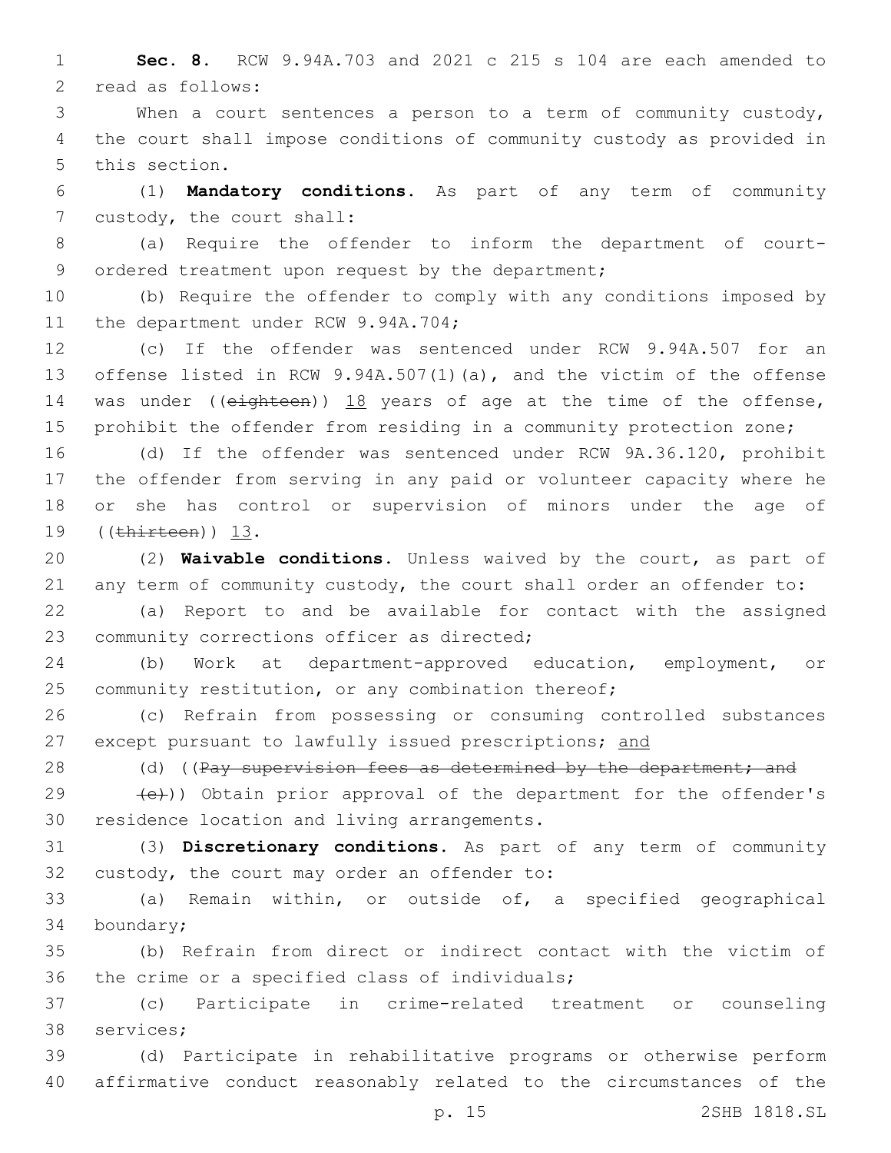1 **Sec. 8.** RCW 9.94A.703 and 2021 c 215 s 104 are each amended to 2 read as follows:

3 When a court sentences a person to a term of community custody, 4 the court shall impose conditions of community custody as provided in 5 this section.

6 (1) **Mandatory conditions.** As part of any term of community 7 custody, the court shall:

8 (a) Require the offender to inform the department of court-9 ordered treatment upon request by the department;

10 (b) Require the offender to comply with any conditions imposed by 11 the department under RCW 9.94A.704;

 (c) If the offender was sentenced under RCW 9.94A.507 for an offense listed in RCW 9.94A.507(1)(a), and the victim of the offense 14 was under ((eighteen)) 18 years of age at the time of the offense, prohibit the offender from residing in a community protection zone;

 (d) If the offender was sentenced under RCW 9A.36.120, prohibit the offender from serving in any paid or volunteer capacity where he or she has control or supervision of minors under the age of 19 ((thirteen)) 13.

20 (2) **Waivable conditions.** Unless waived by the court, as part of 21 any term of community custody, the court shall order an offender to:

22 (a) Report to and be available for contact with the assigned 23 community corrections officer as directed;

24 (b) Work at department-approved education, employment, or 25 community restitution, or any combination thereof;

26 (c) Refrain from possessing or consuming controlled substances 27 except pursuant to lawfully issued prescriptions; and

28 (d) ((Pay supervision fees as determined by the department; and

29  $(e)$ )) Obtain prior approval of the department for the offender's 30 residence location and living arrangements.

31 (3) **Discretionary conditions.** As part of any term of community 32 custody, the court may order an offender to:

33 (a) Remain within, or outside of, a specified geographical 34 boundary;

35 (b) Refrain from direct or indirect contact with the victim of 36 the crime or a specified class of individuals;

37 (c) Participate in crime-related treatment or counseling 38 services;

39 (d) Participate in rehabilitative programs or otherwise perform 40 affirmative conduct reasonably related to the circumstances of the

p. 15 2SHB 1818.SL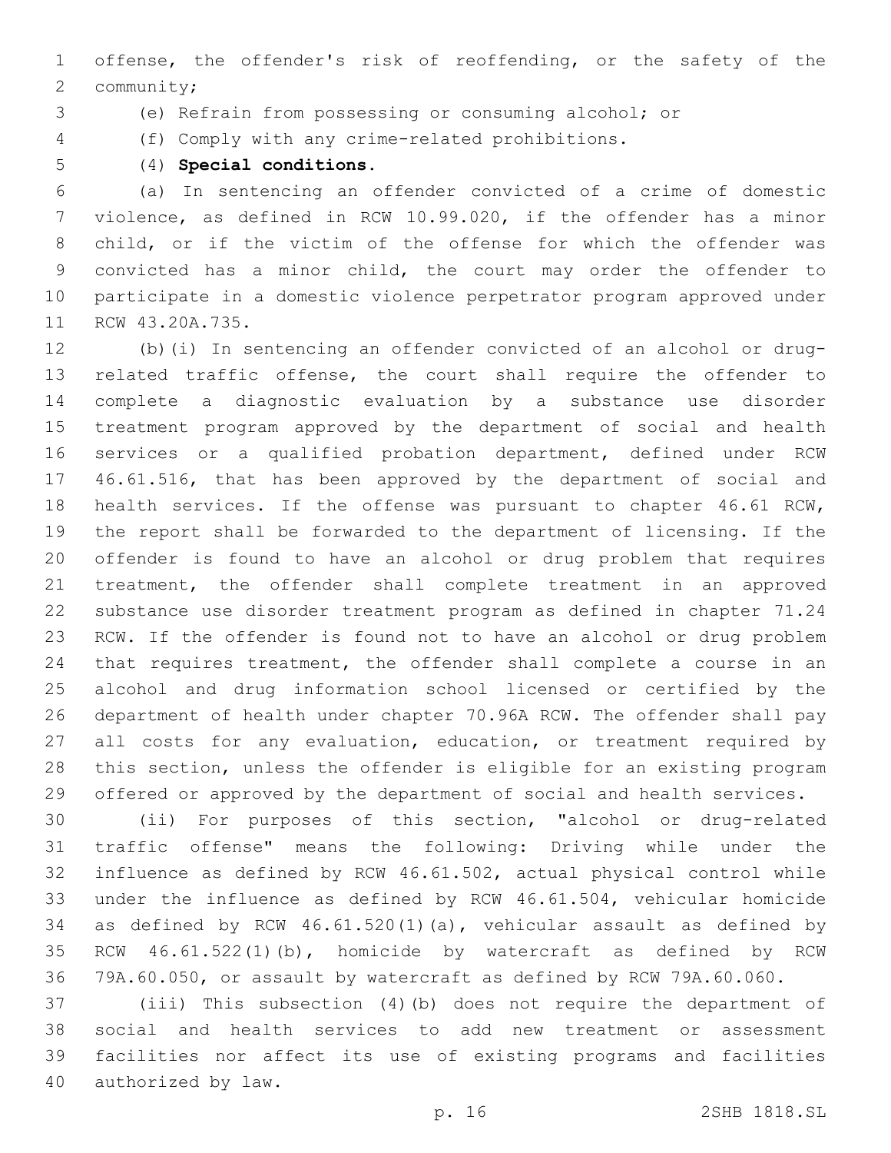offense, the offender's risk of reoffending, or the safety of the 2 community;

(e) Refrain from possessing or consuming alcohol; or

- (f) Comply with any crime-related prohibitions.
- 

(4) **Special conditions.**

 (a) In sentencing an offender convicted of a crime of domestic violence, as defined in RCW 10.99.020, if the offender has a minor child, or if the victim of the offense for which the offender was convicted has a minor child, the court may order the offender to participate in a domestic violence perpetrator program approved under 11 RCW 43.20A.735.

 (b)(i) In sentencing an offender convicted of an alcohol or drug- related traffic offense, the court shall require the offender to complete a diagnostic evaluation by a substance use disorder treatment program approved by the department of social and health services or a qualified probation department, defined under RCW 46.61.516, that has been approved by the department of social and health services. If the offense was pursuant to chapter 46.61 RCW, the report shall be forwarded to the department of licensing. If the offender is found to have an alcohol or drug problem that requires treatment, the offender shall complete treatment in an approved substance use disorder treatment program as defined in chapter 71.24 RCW. If the offender is found not to have an alcohol or drug problem that requires treatment, the offender shall complete a course in an alcohol and drug information school licensed or certified by the department of health under chapter 70.96A RCW. The offender shall pay 27 all costs for any evaluation, education, or treatment required by this section, unless the offender is eligible for an existing program offered or approved by the department of social and health services.

 (ii) For purposes of this section, "alcohol or drug-related traffic offense" means the following: Driving while under the influence as defined by RCW 46.61.502, actual physical control while under the influence as defined by RCW 46.61.504, vehicular homicide as defined by RCW 46.61.520(1)(a), vehicular assault as defined by RCW 46.61.522(1)(b), homicide by watercraft as defined by RCW 79A.60.050, or assault by watercraft as defined by RCW 79A.60.060.

 (iii) This subsection (4)(b) does not require the department of social and health services to add new treatment or assessment facilities nor affect its use of existing programs and facilities 40 authorized by law.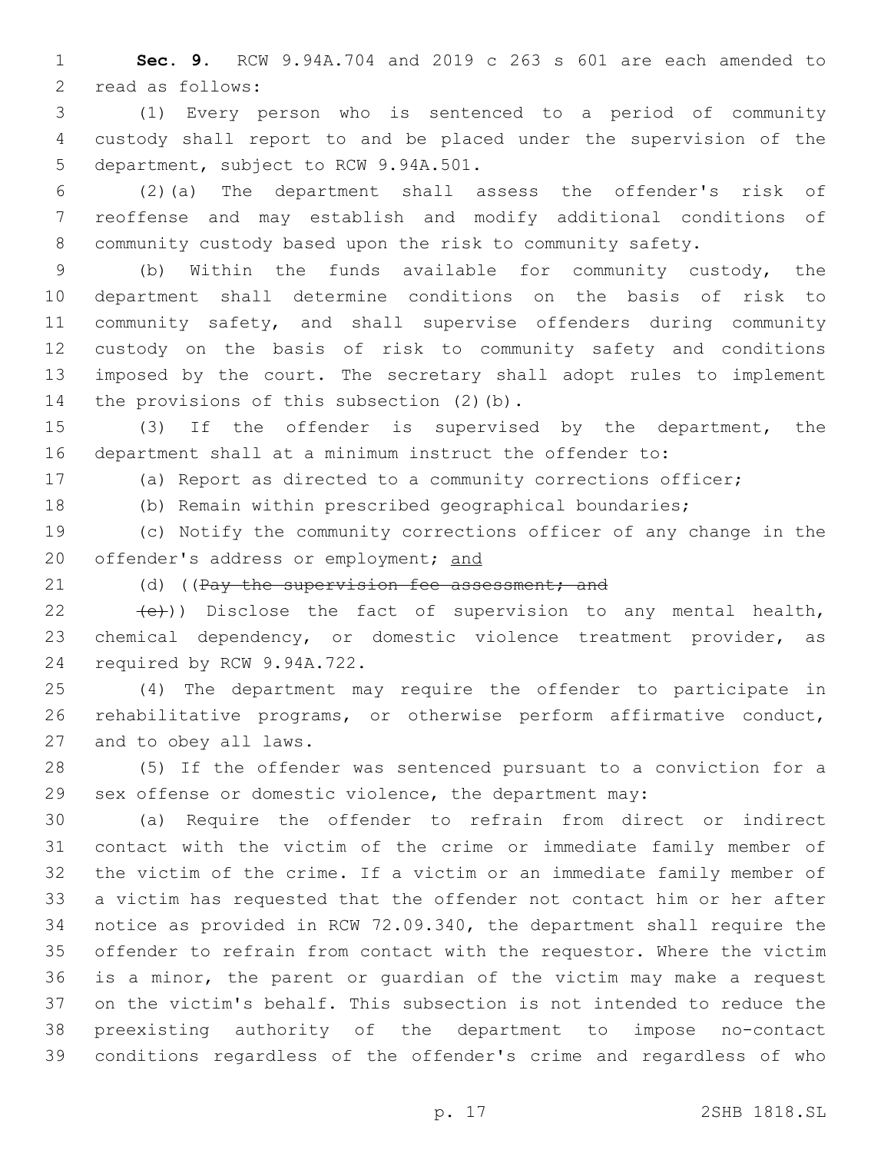**Sec. 9.** RCW 9.94A.704 and 2019 c 263 s 601 are each amended to 2 read as follows:

 (1) Every person who is sentenced to a period of community custody shall report to and be placed under the supervision of the 5 department, subject to RCW 9.94A.501.

 (2)(a) The department shall assess the offender's risk of reoffense and may establish and modify additional conditions of community custody based upon the risk to community safety.

 (b) Within the funds available for community custody, the department shall determine conditions on the basis of risk to community safety, and shall supervise offenders during community custody on the basis of risk to community safety and conditions imposed by the court. The secretary shall adopt rules to implement 14 the provisions of this subsection (2)(b).

 (3) If the offender is supervised by the department, the department shall at a minimum instruct the offender to:

(a) Report as directed to a community corrections officer;

(b) Remain within prescribed geographical boundaries;

 (c) Notify the community corrections officer of any change in the 20 offender's address or employment; and

21 (d) ((Pay the supervision fee assessment; and

22  $(e)$ )) Disclose the fact of supervision to any mental health, chemical dependency, or domestic violence treatment provider, as 24 required by RCW 9.94A.722.

 (4) The department may require the offender to participate in rehabilitative programs, or otherwise perform affirmative conduct, 27 and to obey all laws.

 (5) If the offender was sentenced pursuant to a conviction for a sex offense or domestic violence, the department may:

 (a) Require the offender to refrain from direct or indirect contact with the victim of the crime or immediate family member of the victim of the crime. If a victim or an immediate family member of a victim has requested that the offender not contact him or her after notice as provided in RCW 72.09.340, the department shall require the offender to refrain from contact with the requestor. Where the victim is a minor, the parent or guardian of the victim may make a request on the victim's behalf. This subsection is not intended to reduce the preexisting authority of the department to impose no-contact conditions regardless of the offender's crime and regardless of who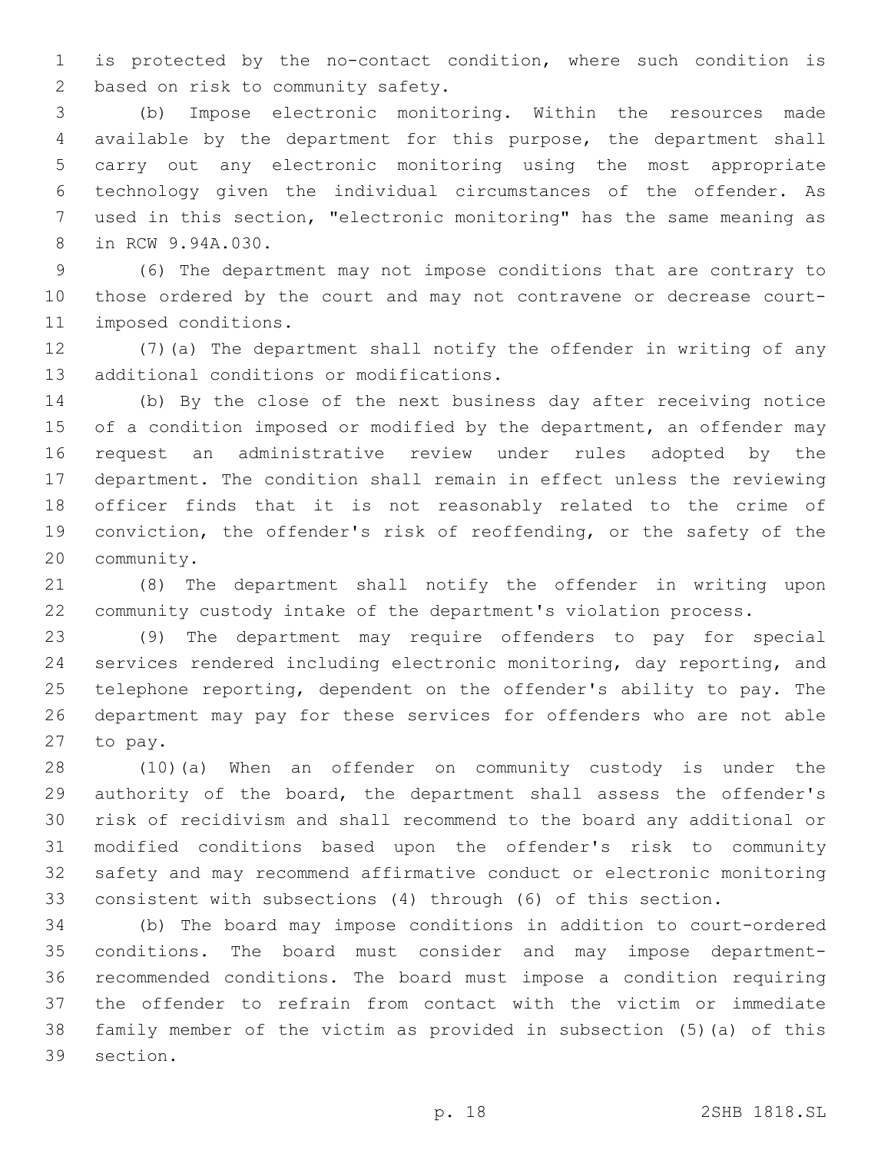is protected by the no-contact condition, where such condition is 2 based on risk to community safety.

 (b) Impose electronic monitoring. Within the resources made available by the department for this purpose, the department shall carry out any electronic monitoring using the most appropriate technology given the individual circumstances of the offender. As used in this section, "electronic monitoring" has the same meaning as 8 in RCW 9.94A.030.

 (6) The department may not impose conditions that are contrary to those ordered by the court and may not contravene or decrease court-11 imposed conditions.

 (7)(a) The department shall notify the offender in writing of any 13 additional conditions or modifications.

 (b) By the close of the next business day after receiving notice 15 of a condition imposed or modified by the department, an offender may request an administrative review under rules adopted by the department. The condition shall remain in effect unless the reviewing officer finds that it is not reasonably related to the crime of conviction, the offender's risk of reoffending, or the safety of the 20 community.

 (8) The department shall notify the offender in writing upon community custody intake of the department's violation process.

 (9) The department may require offenders to pay for special services rendered including electronic monitoring, day reporting, and telephone reporting, dependent on the offender's ability to pay. The department may pay for these services for offenders who are not able 27 to pay.

 (10)(a) When an offender on community custody is under the authority of the board, the department shall assess the offender's risk of recidivism and shall recommend to the board any additional or modified conditions based upon the offender's risk to community safety and may recommend affirmative conduct or electronic monitoring consistent with subsections (4) through (6) of this section.

 (b) The board may impose conditions in addition to court-ordered conditions. The board must consider and may impose department- recommended conditions. The board must impose a condition requiring the offender to refrain from contact with the victim or immediate family member of the victim as provided in subsection (5)(a) of this 39 section.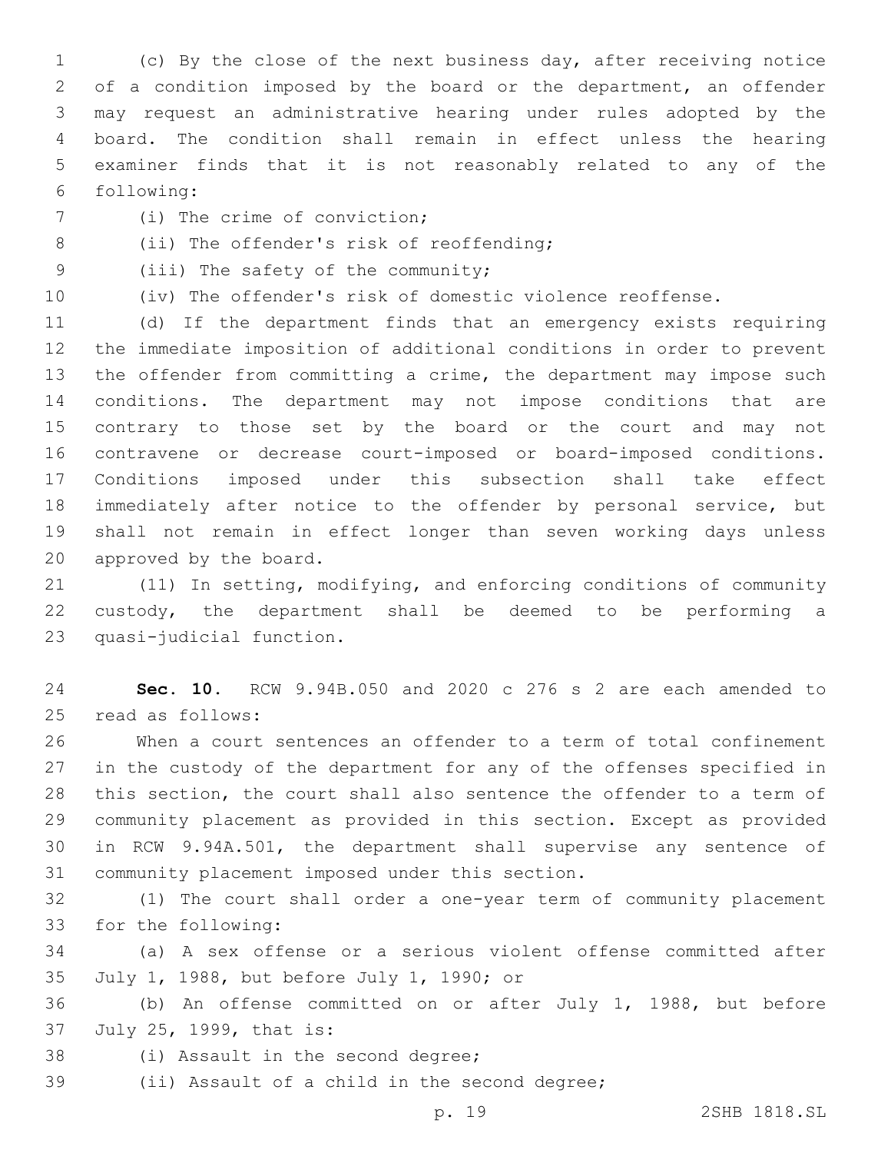(c) By the close of the next business day, after receiving notice of a condition imposed by the board or the department, an offender may request an administrative hearing under rules adopted by the board. The condition shall remain in effect unless the hearing examiner finds that it is not reasonably related to any of the following:6

- 7 (i) The crime of conviction;
- 8 (ii) The offender's risk of reoffending;
- 9 (iii) The safety of the community;
- 

(iv) The offender's risk of domestic violence reoffense.

 (d) If the department finds that an emergency exists requiring the immediate imposition of additional conditions in order to prevent the offender from committing a crime, the department may impose such conditions. The department may not impose conditions that are contrary to those set by the board or the court and may not contravene or decrease court-imposed or board-imposed conditions. Conditions imposed under this subsection shall take effect immediately after notice to the offender by personal service, but shall not remain in effect longer than seven working days unless 20 approved by the board.

 (11) In setting, modifying, and enforcing conditions of community custody, the department shall be deemed to be performing a 23 quasi-judicial function.

 **Sec. 10.** RCW 9.94B.050 and 2020 c 276 s 2 are each amended to read as follows:25

 When a court sentences an offender to a term of total confinement in the custody of the department for any of the offenses specified in this section, the court shall also sentence the offender to a term of community placement as provided in this section. Except as provided in RCW 9.94A.501, the department shall supervise any sentence of 31 community placement imposed under this section.

 (1) The court shall order a one-year term of community placement 33 for the following:

 (a) A sex offense or a serious violent offense committed after 35 July 1, 1988, but before July 1, 1990; or

 (b) An offense committed on or after July 1, 1988, but before 37 July 25, 1999, that is:

- 38 (i) Assault in the second degree;
- 39 (ii) Assault of a child in the second degree;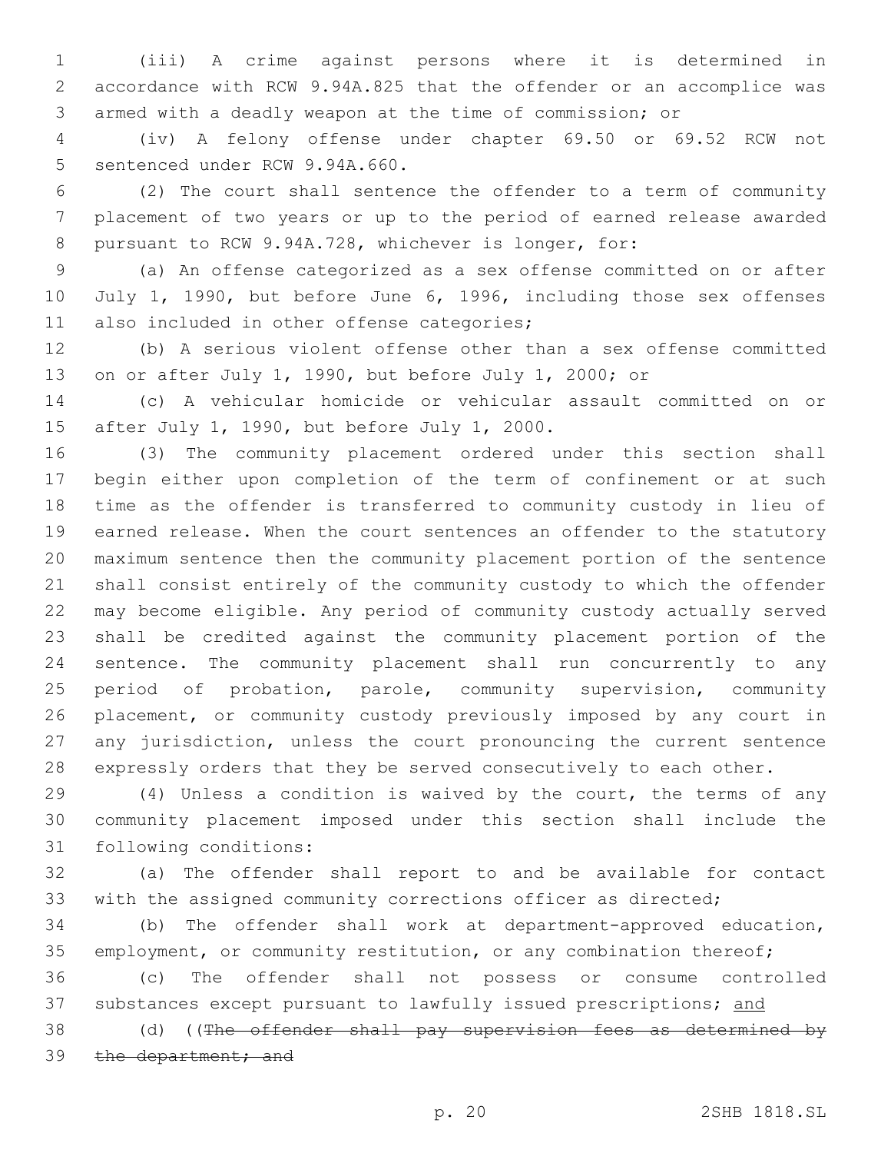(iii) A crime against persons where it is determined in accordance with RCW 9.94A.825 that the offender or an accomplice was armed with a deadly weapon at the time of commission; or

 (iv) A felony offense under chapter 69.50 or 69.52 RCW not 5 sentenced under RCW 9.94A.660.

 (2) The court shall sentence the offender to a term of community placement of two years or up to the period of earned release awarded pursuant to RCW 9.94A.728, whichever is longer, for:

 (a) An offense categorized as a sex offense committed on or after 10 July 1, 1990, but before June 6, 1996, including those sex offenses 11 also included in other offense categories;

 (b) A serious violent offense other than a sex offense committed on or after July 1, 1990, but before July 1, 2000; or

 (c) A vehicular homicide or vehicular assault committed on or 15 after July 1, 1990, but before July 1, 2000.

 (3) The community placement ordered under this section shall begin either upon completion of the term of confinement or at such time as the offender is transferred to community custody in lieu of earned release. When the court sentences an offender to the statutory maximum sentence then the community placement portion of the sentence shall consist entirely of the community custody to which the offender may become eligible. Any period of community custody actually served shall be credited against the community placement portion of the sentence. The community placement shall run concurrently to any period of probation, parole, community supervision, community placement, or community custody previously imposed by any court in any jurisdiction, unless the court pronouncing the current sentence expressly orders that they be served consecutively to each other.

 (4) Unless a condition is waived by the court, the terms of any community placement imposed under this section shall include the 31 following conditions:

 (a) The offender shall report to and be available for contact with the assigned community corrections officer as directed;

 (b) The offender shall work at department-approved education, 35 employment, or community restitution, or any combination thereof;

 (c) The offender shall not possess or consume controlled 37 substances except pursuant to lawfully issued prescriptions; and

38 (d) ((The offender shall pay supervision fees as determined by 39 the department; and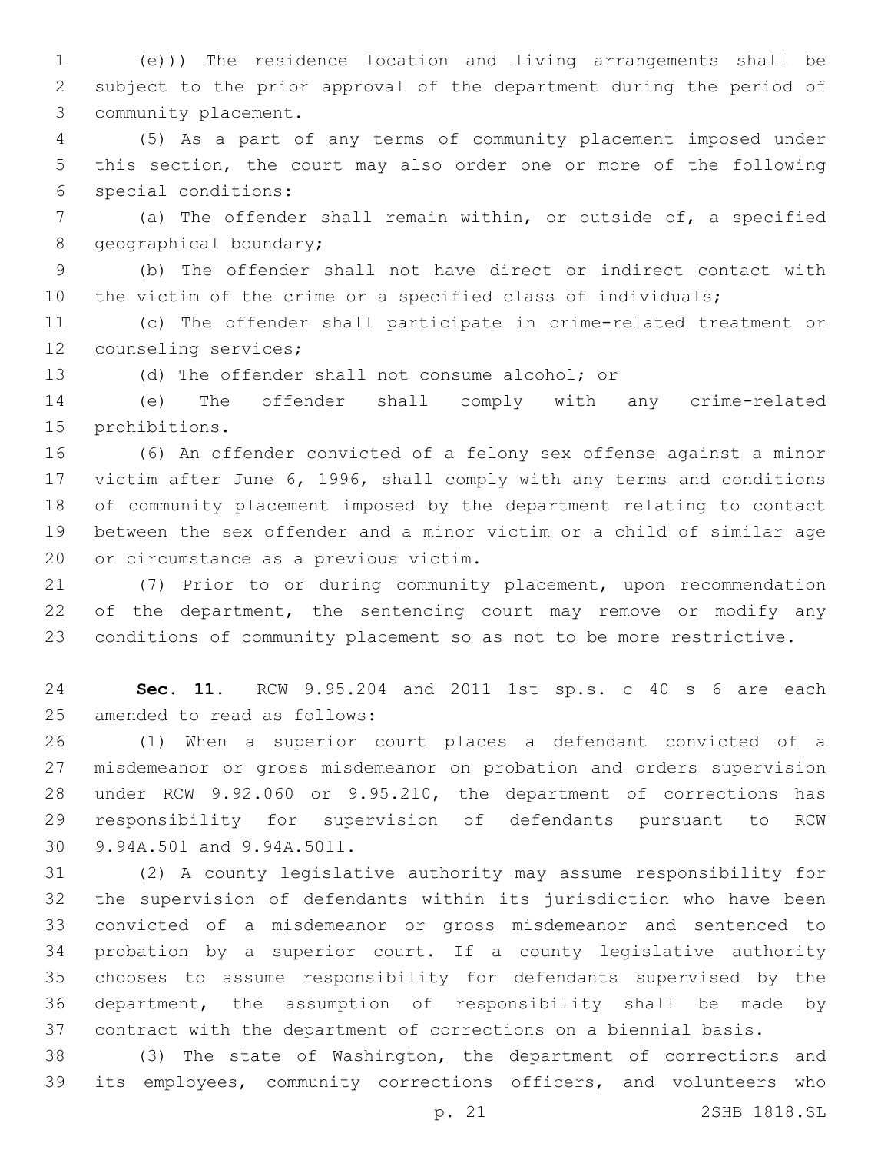1 (e)) The residence location and living arrangements shall be subject to the prior approval of the department during the period of 3 community placement.

 (5) As a part of any terms of community placement imposed under this section, the court may also order one or more of the following special conditions:6

 (a) The offender shall remain within, or outside of, a specified 8 geographical boundary;

 (b) The offender shall not have direct or indirect contact with the victim of the crime or a specified class of individuals;

 (c) The offender shall participate in crime-related treatment or 12 counseling services;

(d) The offender shall not consume alcohol; or

 (e) The offender shall comply with any crime-related 15 prohibitions.

 (6) An offender convicted of a felony sex offense against a minor victim after June 6, 1996, shall comply with any terms and conditions of community placement imposed by the department relating to contact between the sex offender and a minor victim or a child of similar age 20 or circumstance as a previous victim.

 (7) Prior to or during community placement, upon recommendation 22 of the department, the sentencing court may remove or modify any conditions of community placement so as not to be more restrictive.

 **Sec. 11.** RCW 9.95.204 and 2011 1st sp.s. c 40 s 6 are each 25 amended to read as follows:

 (1) When a superior court places a defendant convicted of a misdemeanor or gross misdemeanor on probation and orders supervision under RCW 9.92.060 or 9.95.210, the department of corrections has responsibility for supervision of defendants pursuant to RCW 30 9.94A.501 and 9.94A.5011.

 (2) A county legislative authority may assume responsibility for the supervision of defendants within its jurisdiction who have been convicted of a misdemeanor or gross misdemeanor and sentenced to probation by a superior court. If a county legislative authority chooses to assume responsibility for defendants supervised by the department, the assumption of responsibility shall be made by contract with the department of corrections on a biennial basis.

 (3) The state of Washington, the department of corrections and its employees, community corrections officers, and volunteers who

p. 21 2SHB 1818.SL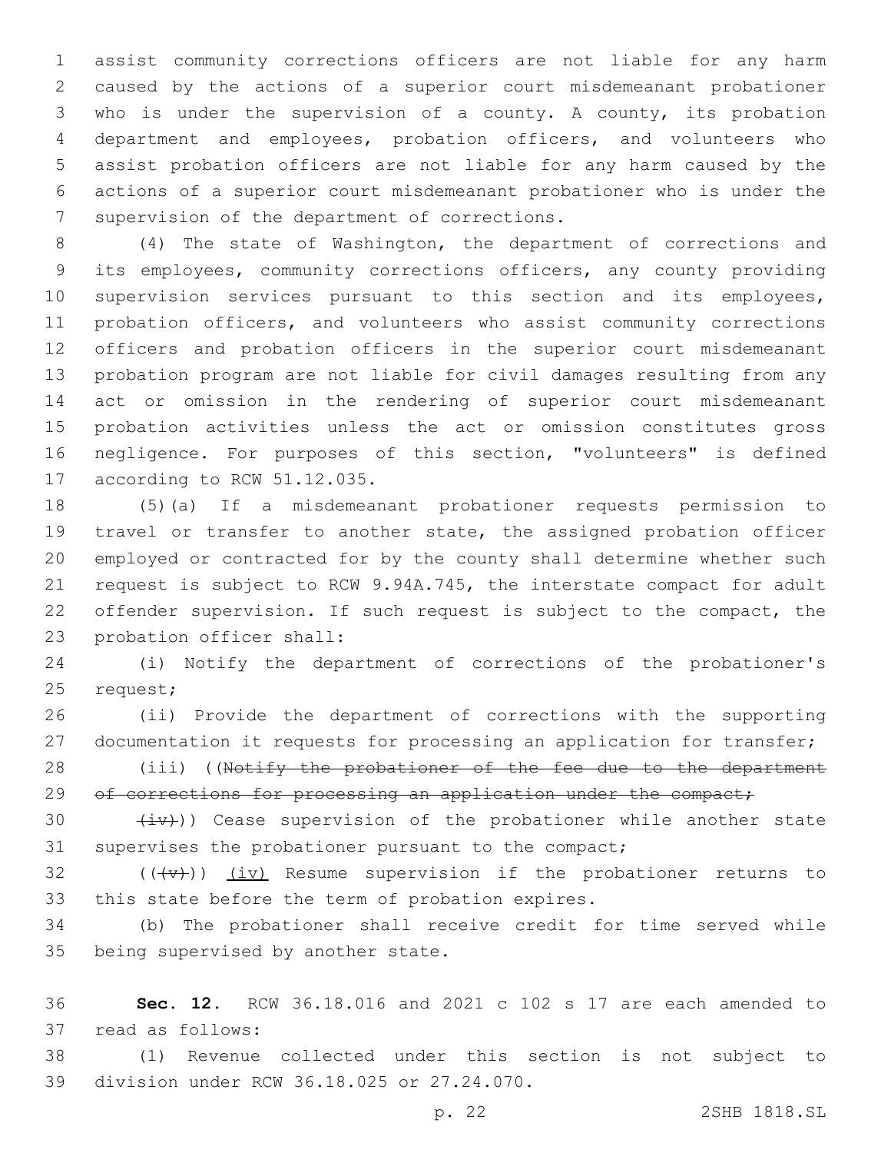assist community corrections officers are not liable for any harm caused by the actions of a superior court misdemeanant probationer who is under the supervision of a county. A county, its probation department and employees, probation officers, and volunteers who assist probation officers are not liable for any harm caused by the actions of a superior court misdemeanant probationer who is under the 7 supervision of the department of corrections.

 (4) The state of Washington, the department of corrections and its employees, community corrections officers, any county providing supervision services pursuant to this section and its employees, probation officers, and volunteers who assist community corrections officers and probation officers in the superior court misdemeanant probation program are not liable for civil damages resulting from any act or omission in the rendering of superior court misdemeanant probation activities unless the act or omission constitutes gross negligence. For purposes of this section, "volunteers" is defined 17 according to RCW 51.12.035.

 (5)(a) If a misdemeanant probationer requests permission to travel or transfer to another state, the assigned probation officer employed or contracted for by the county shall determine whether such request is subject to RCW 9.94A.745, the interstate compact for adult offender supervision. If such request is subject to the compact, the 23 probation officer shall:

 (i) Notify the department of corrections of the probationer's 25 request;

 (ii) Provide the department of corrections with the supporting documentation it requests for processing an application for transfer;

28 (iii) ((Notify the probationer of the fee due to the department 29 of corrections for processing an application under the compact;

30  $(iv)$ ) Cease supervision of the probationer while another state supervises the probationer pursuant to the compact;

32  $((+\nu)^2)$   $(i\nu)$  Resume supervision if the probationer returns to 33 this state before the term of probation expires.

 (b) The probationer shall receive credit for time served while 35 being supervised by another state.

 **Sec. 12.** RCW 36.18.016 and 2021 c 102 s 17 are each amended to 37 read as follows:

 (1) Revenue collected under this section is not subject to 39 division under RCW 36.18.025 or 27.24.070.

p. 22 2SHB 1818.SL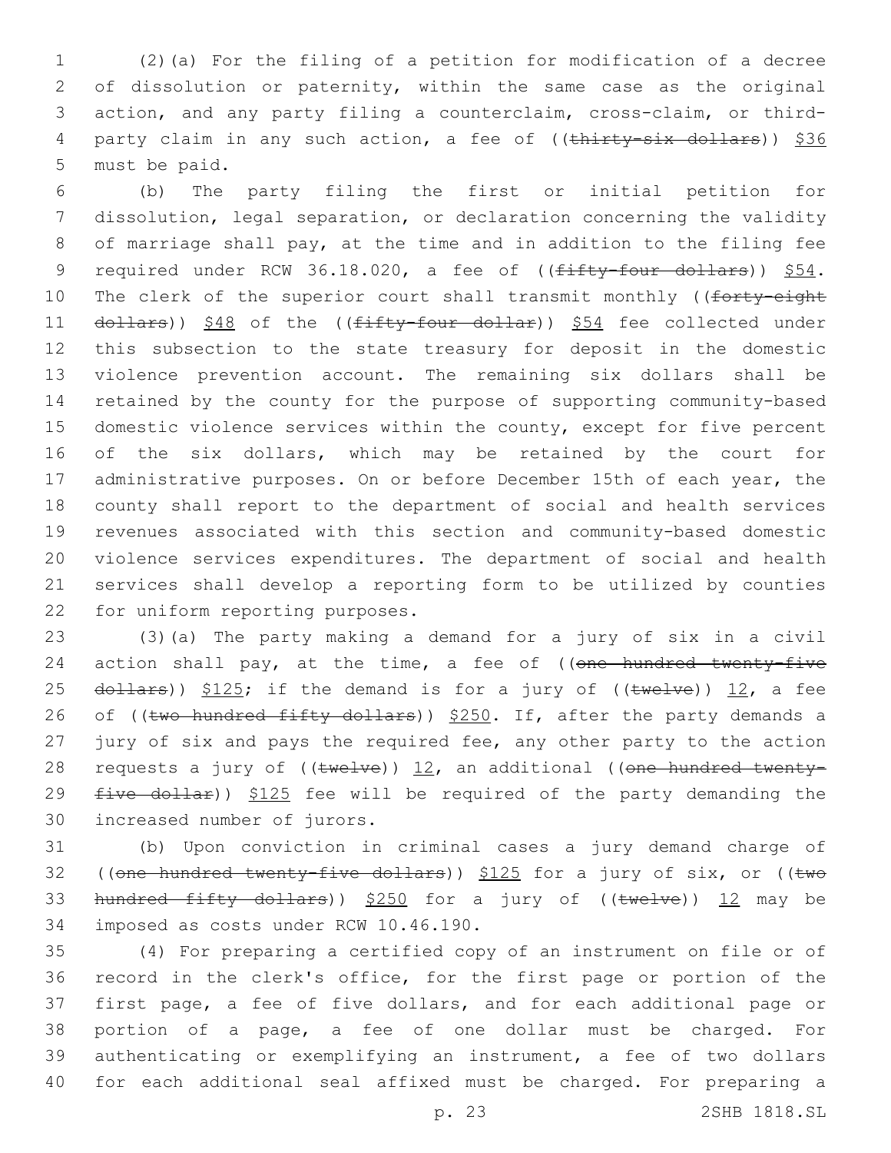1 (2)(a) For the filing of a petition for modification of a decree 2 of dissolution or paternity, within the same case as the original 3 action, and any party filing a counterclaim, cross-claim, or third-4 party claim in any such action, a fee of ((thirty-six dollars)) \$36 5 must be paid.

 (b) The party filing the first or initial petition for dissolution, legal separation, or declaration concerning the validity of marriage shall pay, at the time and in addition to the filing fee 9 required under RCW 36.18.020, a fee of ((fifty-four dollars)) \$54. 10 The clerk of the superior court shall transmit monthly ((forty-eight 11 dollars)) \$48 of the ((fifty-four dollar)) \$54 fee collected under this subsection to the state treasury for deposit in the domestic violence prevention account. The remaining six dollars shall be retained by the county for the purpose of supporting community-based domestic violence services within the county, except for five percent of the six dollars, which may be retained by the court for 17 administrative purposes. On or before December 15th of each year, the county shall report to the department of social and health services revenues associated with this section and community-based domestic violence services expenditures. The department of social and health services shall develop a reporting form to be utilized by counties 22 for uniform reporting purposes.

23 (3)(a) The party making a demand for a jury of six in a civil 24 action shall pay, at the time, a fee of ((one hundred twenty-five 25  $d$ ollars))  $$125;$  if the demand is for a jury of (( $t$ welve)) 12, a fee 26 of ((two hundred fifty dollars)) \$250. If, after the party demands a 27 jury of six and pays the required fee, any other party to the action 28 requests a jury of  $((\text{twelve}))$  12, an additional ((one hundred twenty-29  $five$  dollar))  $$125$  fee will be required of the party demanding the 30 increased number of jurors.

31 (b) Upon conviction in criminal cases a jury demand charge of 32 ((one hundred twenty-five dollars)) \$125 for a jury of six, or ((two 33 hundred fifty dollars)) \$250 for a jury of ((twelve)) 12 may be 34 imposed as costs under RCW 10.46.190.

 (4) For preparing a certified copy of an instrument on file or of record in the clerk's office, for the first page or portion of the first page, a fee of five dollars, and for each additional page or portion of a page, a fee of one dollar must be charged. For authenticating or exemplifying an instrument, a fee of two dollars for each additional seal affixed must be charged. For preparing a

p. 23 2SHB 1818.SL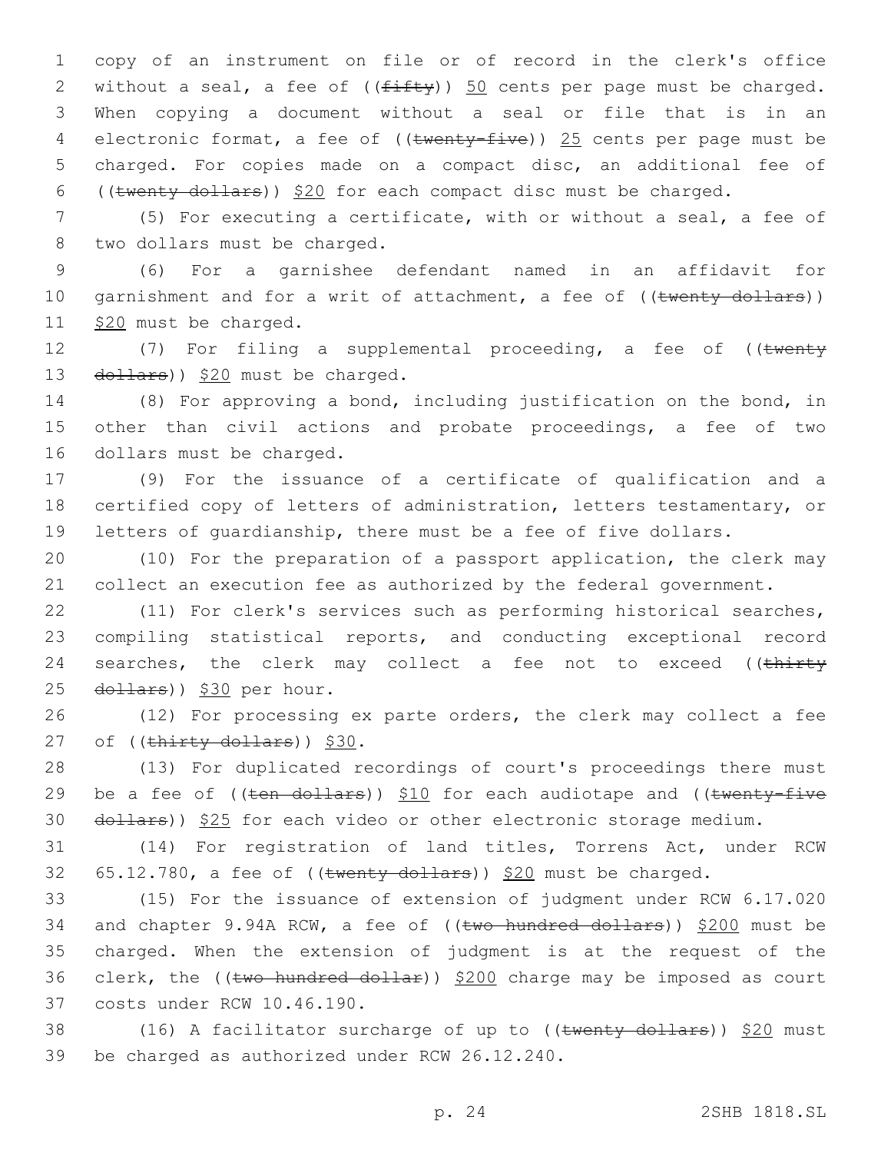copy of an instrument on file or of record in the clerk's office 2 without a seal, a fee of  $((f\text{iff}\psi))$  50 cents per page must be charged. When copying a document without a seal or file that is in an 4 electronic format, a fee of ((twenty-five)) 25 cents per page must be charged. For copies made on a compact disc, an additional fee of ((twenty dollars)) \$20 for each compact disc must be charged.

7 (5) For executing a certificate, with or without a seal, a fee of 8 two dollars must be charged.

9 (6) For a garnishee defendant named in an affidavit for 10 garnishment and for a writ of attachment, a fee of ((twenty dollars)) 11 \$20 must be charged.

12 (7) For filing a supplemental proceeding, a fee of ((twenty 13  $\left(\frac{d^2}{2} + \frac{d^2}{2} + \frac{d^2}{2}\right)$  and the charged.

14 (8) For approving a bond, including justification on the bond, in 15 other than civil actions and probate proceedings, a fee of two 16 dollars must be charged.

17 (9) For the issuance of a certificate of qualification and a 18 certified copy of letters of administration, letters testamentary, or 19 letters of guardianship, there must be a fee of five dollars.

20 (10) For the preparation of a passport application, the clerk may 21 collect an execution fee as authorized by the federal government.

22 (11) For clerk's services such as performing historical searches, 23 compiling statistical reports, and conducting exceptional record 24 searches, the clerk may collect a fee not to exceed ((thirty 25 dollars)) \$30 per hour.

26 (12) For processing ex parte orders, the clerk may collect a fee 27 of  $((\text{thirty dollars}))$  \$30.

28 (13) For duplicated recordings of court's proceedings there must 29 be a fee of  $((\text{ten}-\text{dollars}))$  \$10 for each audiotape and  $((\text{twenty-five}-\text{fivex}))$ 30 dollars)) \$25 for each video or other electronic storage medium.

31 (14) For registration of land titles, Torrens Act, under RCW 32  $65.12.780$ , a fee of ((twenty dollars)) \$20 must be charged.

33 (15) For the issuance of extension of judgment under RCW 6.17.020 34 and chapter 9.94A RCW, a fee of ((two hundred dollars)) \$200 must be 35 charged. When the extension of judgment is at the request of the 36 clerk, the (( $t$ wo hundred dollar))  $$200$  charge may be imposed as court 37 costs under RCW 10.46.190.

38 (16) A facilitator surcharge of up to ((twenty dollars)) \$20 must 39 be charged as authorized under RCW 26.12.240.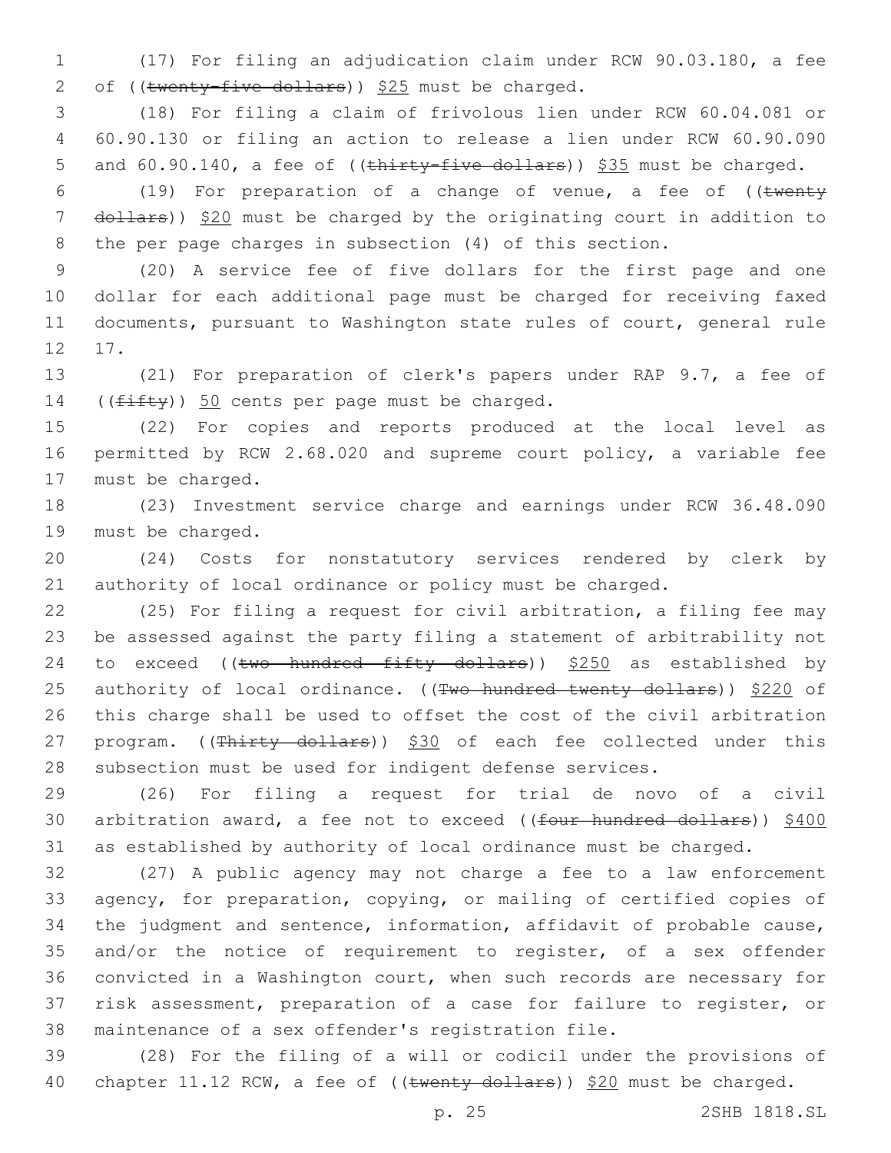(17) For filing an adjudication claim under RCW 90.03.180, a fee 2 of (( $\text{twenty-five dollars}$ ))  $$25$  must be charged.

 (18) For filing a claim of frivolous lien under RCW 60.04.081 or 60.90.130 or filing an action to release a lien under RCW 60.90.090 5 and 60.90.140, a fee of ((thirty-five dollars)) \$35 must be charged.

6 (19) For preparation of a change of venue, a fee of  $($  (twenty 7 dollars)) \$20 must be charged by the originating court in addition to the per page charges in subsection (4) of this section.

 (20) A service fee of five dollars for the first page and one dollar for each additional page must be charged for receiving faxed documents, pursuant to Washington state rules of court, general rule 12 17.

 (21) For preparation of clerk's papers under RAP 9.7, a fee of 14  $((f\text{ifty}))$  50 cents per page must be charged.

 (22) For copies and reports produced at the local level as permitted by RCW 2.68.020 and supreme court policy, a variable fee 17 must be charged.

 (23) Investment service charge and earnings under RCW 36.48.090 19 must be charged.

 (24) Costs for nonstatutory services rendered by clerk by authority of local ordinance or policy must be charged.

 (25) For filing a request for civil arbitration, a filing fee may be assessed against the party filing a statement of arbitrability not 24 to exceed (( $t$ wo hundred fifty dollars))  $$250$  as established by 25 authority of local ordinance. ((Two hundred twenty dollars)) \$220 of this charge shall be used to offset the cost of the civil arbitration 27 program. ((Thirty dollars)) \$30 of each fee collected under this subsection must be used for indigent defense services.

 (26) For filing a request for trial de novo of a civil 30 arbitration award, a fee not to exceed ((four hundred dollars)) \$400 as established by authority of local ordinance must be charged.

 (27) A public agency may not charge a fee to a law enforcement agency, for preparation, copying, or mailing of certified copies of the judgment and sentence, information, affidavit of probable cause, and/or the notice of requirement to register, of a sex offender convicted in a Washington court, when such records are necessary for risk assessment, preparation of a case for failure to register, or maintenance of a sex offender's registration file.

 (28) For the filing of a will or codicil under the provisions of 40 chapter 11.12 RCW, a fee of ((twenty dollars)) \$20 must be charged.

p. 25 2SHB 1818.SL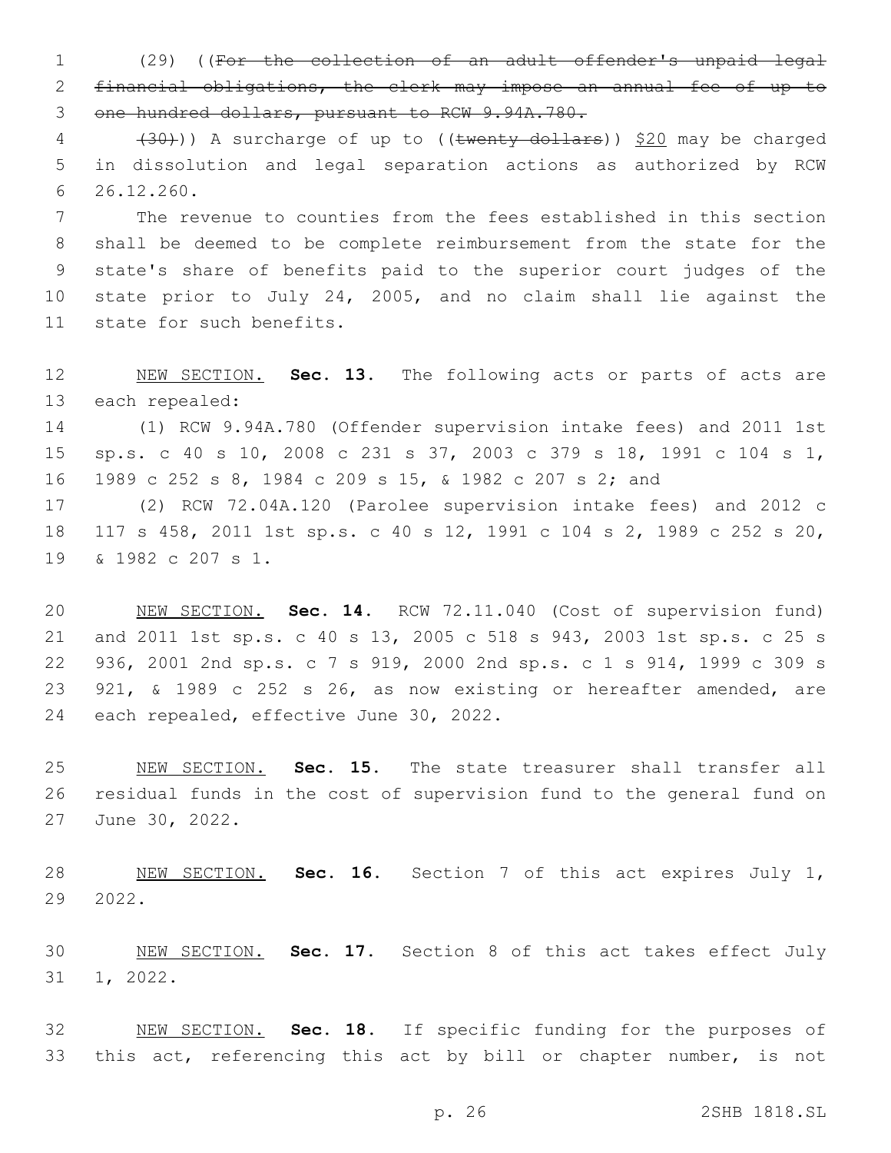(29) ((For the collection of an adult offender's unpaid legal financial obligations, the clerk may impose an annual fee of up to one hundred dollars, pursuant to RCW 9.94A.780.

 $(30)$ )) A surcharge of up to ((twenty dollars)) \$20 may be charged in dissolution and legal separation actions as authorized by RCW 26.12.260.6

 The revenue to counties from the fees established in this section shall be deemed to be complete reimbursement from the state for the state's share of benefits paid to the superior court judges of the state prior to July 24, 2005, and no claim shall lie against the 11 state for such benefits.

 NEW SECTION. **Sec. 13.** The following acts or parts of acts are each repealed:

 (1) RCW 9.94A.780 (Offender supervision intake fees) and 2011 1st sp.s. c 40 s 10, 2008 c 231 s 37, 2003 c 379 s 18, 1991 c 104 s 1, 1989 c 252 s 8, 1984 c 209 s 15, & 1982 c 207 s 2; and

 (2) RCW 72.04A.120 (Parolee supervision intake fees) and 2012 c 117 s 458, 2011 1st sp.s. c 40 s 12, 1991 c 104 s 2, 1989 c 252 s 20, 19 & 1982 c 207 s 1.

 NEW SECTION. **Sec. 14.** RCW 72.11.040 (Cost of supervision fund) and 2011 1st sp.s. c 40 s 13, 2005 c 518 s 943, 2003 1st sp.s. c 25 s 936, 2001 2nd sp.s. c 7 s 919, 2000 2nd sp.s. c 1 s 914, 1999 c 309 s 921, & 1989 c 252 s 26, as now existing or hereafter amended, are each repealed, effective June 30, 2022.

 NEW SECTION. **Sec. 15.** The state treasurer shall transfer all residual funds in the cost of supervision fund to the general fund on June 30, 2022.

 NEW SECTION. **Sec. 16.** Section 7 of this act expires July 1, 2022.

 NEW SECTION. **Sec. 17.** Section 8 of this act takes effect July 1, 2022.

 NEW SECTION. **Sec. 18.** If specific funding for the purposes of this act, referencing this act by bill or chapter number, is not

p. 26 2SHB 1818.SL